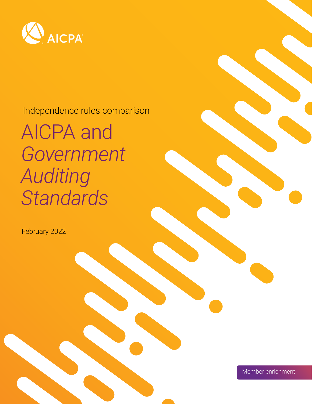

Independence rules comparison

# AICPA and *Government Auditing Standards*

February 2022

Member enrichment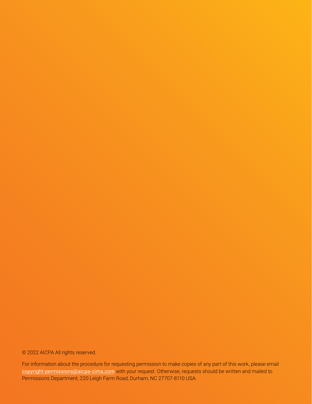#### <span id="page-1-0"></span>© 2022 AICPA All rights reserved.

For information about the procedure for requesting permission to make copies of any part of this work, please email [copyright-permissions@aicpa-cima.com](mailto:copyright-permissions%40aicpa-cima.com?subject=) with your request. Otherwise, requests should be written and mailed to Permissions Department, 220 Leigh Farm Road, Durham, NC 27707-8110 USA.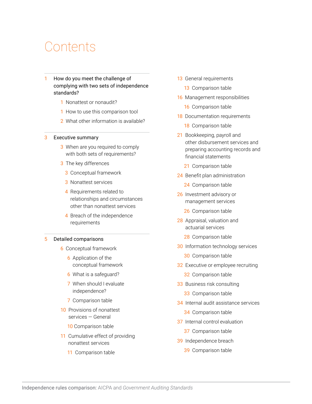# Contents

- How do you meet the challenge of [complying with two sets of independence](#page-3-0)  [standards?](#page-3-0)
	- [Nonattest or nonaudit?](#page-3-0)
	- [How to use this comparison tool](#page-3-0)
	- [What other information is available?](#page-4-0)

#### [Executive summary](#page-5-0)

- 3 When are you required to comply [with both sets of requirements?](#page-5-0)
- [The key differences](#page-5-0)
	- [Conceptual framework](#page-5-0)
	- [Nonattest services](#page-5-0)
	- [Requirements related to](#page-6-0)  [relationships and circumstances](#page-6-0)  [other than nonattest services](#page-6-0)
	- [Breach of the independence](#page-6-0)  [requirements](#page-6-0)

#### [Detailed comparisons](#page-7-0)

- [Conceptual framework](#page-8-0)
	- [Application of the](#page-8-0)  [conceptual framework](#page-8-0)
	- [What is a safeguard?](#page-8-0)
	- [When should I evaluate](#page-9-0)  [independence?](#page-9-0)
	- [Comparison table](#page-9-0)
- [Provisions of nonattest](#page-12-0)  [services — General](#page-12-0)
	- [Comparison table](#page-12-0)
- 11 Cumulative effect of providing [nonattest services](#page-13-0)
	- [Comparison table](#page-13-0)
- [General requirements](#page-15-0)
	- [Comparison table](#page-15-0)
- [Management responsibilities](#page-18-0)
	- [Comparison table](#page-18-0)
- [Documentation requirements](#page-20-0)
	- [Comparison table](#page-20-0)
- 21 Bookkeeping, payroll and [other disbursement services and](#page-23-0)  [preparing accounting records and](#page-23-0)  [financial statements](#page-23-0)
	- [Comparison table](#page-23-0)
- [Benefit plan administration](#page-26-0)
	- [Comparison table](#page-26-0)
- [Investment advisory or](#page-28-0)  [management services](#page-28-0)
	- [Comparison table](#page-28-0)
- [Appraisal, valuation and](#page-30-0)  [actuarial services](#page-30-0)
	- [Comparison table](#page-30-0)
- [Information technology services](#page-32-0)
	- [Comparison table](#page-32-0)
- [Executive or employee recruiting](#page-34-0)
	- [Comparison table](#page-34-0)
- [Business risk consulting](#page-35-0)
	- [Comparison table](#page-35-0)
- [Internal audit assistance services](#page-36-0)
	- [Comparison table](#page-36-0)
- [Internal control evaluation](#page-39-0)
	- [Comparison table](#page-39-0)
- [Independence breach](#page-41-0)
	- [Comparison table](#page-41-0)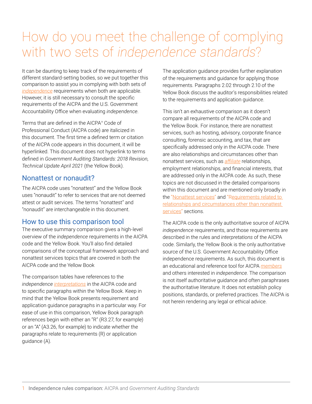# <span id="page-3-0"></span>How do you meet the challenge of complying with two sets of *independence standards*?

It can be daunting to keep track of the requirements of different standard-setting bodies, so we put together this comparison to assist you in complying with both sets of *[independence](http://pub.aicpa.org/codeofconduct/resourceseamlesslogin.aspx?prod=ethics&tdoc=et-cod&tptr=et-cod0.400.21)* requirements when both are applicable. However, it is still necessary to consult the specific requirements of the AICPA and the U.S. Government Accountability Office when evaluating *independence*.

Terms that are defined in the AICPA® Code of Professional Conduct (AICPA code) are italicized in this document. The first time a defined term or citation of the AICPA code appears in this document, it will be hyperlinked. This document does not hyperlink to terms defined in *Government Auditing Standards: 2018 Revision, Technical Update April 2021* (the Yellow Book).

# Nonattest or nonaudit?

The AICPA code uses "nonattest" and the Yellow Book uses "nonaudit" to refer to services that are not deemed attest or audit services. The terms "nonattest" and "nonaudit" are interchangeable in this document.

# How to use this comparison tool

The executive summary comparison gives a high-level overview of the *independence* requirements in the AICPA code and the Yellow Book. You'll also find detailed comparisons of the conceptual framework approach and nonattest services topics that are covered in both the AICPA code and the Yellow Book

The comparison tables have references to the *independence [interpretations](http://pub.aicpa.org/codeofconduct/resourceseamlesslogin.aspx?prod=ethics&tdoc=et-cod&tptr=et-cod0.400.25)* in the AICPA code and to specific paragraphs within the Yellow Book. Keep in mind that the Yellow Book presents requirement and application guidance paragraphs in a particular way. For ease of use in this comparison, Yellow Book paragraph references begin with either an "R" (R3.27, for example) or an "A" (A3.26, for example) to indicate whether the paragraphs relate to requirements (R) or application guidance (A).

The application guidance provides further explanation of the requirements and guidance for applying those requirements. Paragraphs 2.02 through 2.10 of the Yellow Book discuss the auditor's responsibilities related to the requirements and application guidance.

This isn't an exhaustive comparison as it doesn't compare all requirements of the AICPA code and the Yellow Book. For instance, there are nonattest services, such as hosting, advisory, corporate finance consulting, forensic accounting, and tax, that are specifically addressed only in the AICPA code. There are also relationships and circumstances other than nonattest services, such as *[affiliate](http://pub.aicpa.org/codeofconduct/resourceseamlesslogin.aspx?prod=ethics&tdoc=et-cod&tptr=et-cod0.400.02)* relationships, employment relationships, and financial interests, that are addressed only in the AICPA code. As such, these topics are not discussed in the detailed comparisons within this document and are mentioned only broadly in the "[Nonattest services](#page-5-0)" and "Requirements related to [relationships and circumstances other than nonattest](#page-6-0)  [services"](#page-6-0) sections.

The AICPA code is the only authoritative source of AICPA *independence* requirements, and those requirements are described in the rules and *interpretations* of the AICPA code. Similarly, the Yellow Book is the only authoritative source of the U.S. Government Accountability Office independence requirements. As such, this document is an educational and reference tool for AICPA *[members](http://pub.aicpa.org/codeofconduct/resourceseamlesslogin.aspx?prod=ethics&tdoc=et-cod&tptr=et-cod0.400.31)* and others interested in *independence*. The comparison is not itself authoritative guidance and often paraphrases the authoritative literature. It does not establish policy positions, standards, or preferred practices. The AICPA is not herein rendering any legal or ethical advice.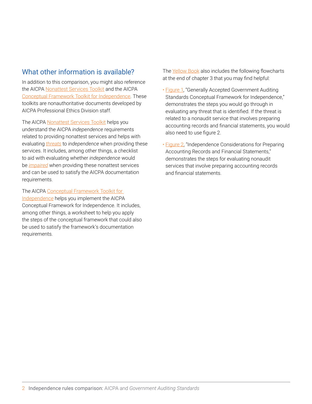# <span id="page-4-0"></span>What other information is available?

In addition to this comparison, you might also reference the AICPA [Nonattest Services Toolkit](https://www.aicpa.org/content/dam/aicpa/interestareas/professionalethics/resources/downloadabledocuments/toolkitsandaids/nonattest-services-toolkit.pdf) and the AICPA [Conceptual Framework Toolkit](https://www.aicpa.org/content/dam/aicpa/interestareas/professionalethics/resources/downloadabledocuments/toolkitsandaids/conceptualframeworktoolkitforindependence.docm) for Independence. These toolkits are nonauthoritative documents developed by AICPA Professional Ethics Division staff.

The AICPA [Nonattest Services Toolkit](https://www.aicpa.org/content/dam/aicpa/interestareas/professionalethics/resources/downloadabledocuments/toolkitsandaids/nonattest-services-toolkit.pdf) helps you understand the AICPA *independence* requirements related to providing nonattest services and helps with evaluating *[threats](http://pub.aicpa.org/codeofconduct/resourceseamlesslogin.aspx?prod=ethics&tdoc=et-cod&tptr=et-cod0.400.49)* to *independence* when providing these services. It includes, among other things, a checklist to aid with evaluating whether *independence* would be *[impaired](http://pub.aicpa.org/codeofconduct/resourceseamlesslogin.aspx?prod=ethics&tdoc=et-cod&tptr=et-cod0.400.20)* when providing these nonattest services and can be used to satisfy the AICPA documentation requirements.

#### The AICPA [Conceptual Framework Toolkit for](https://www.aicpa.org/content/dam/aicpa/interestareas/professionalethics/resources/downloadabledocuments/toolkitsandaids/conceptualframeworktoolkitforindependence.docm)

[Independence](https://www.aicpa.org/content/dam/aicpa/interestareas/professionalethics/resources/downloadabledocuments/toolkitsandaids/conceptualframeworktoolkitforindependence.docm) helps you implement the AICPA Conceptual Framework for Independence. It includes, among other things, a worksheet to help you apply the steps of the conceptual framework that could also be used to satisfy the framework's documentation requirements.

The [Yellow Book](https://www.gao.gov/yellowbook) also includes the following flowcharts at the end of chapter 3 that you may find helpful:

- [Figure 1,](https://www.gao.gov/assets/gao-21-368g.pdf#page=71) "Generally Accepted Government Auditing Standards Conceptual Framework for Independence," demonstrates the steps you would go through in evaluating any threat that is identified. If the threat is related to a nonaudit service that involves preparing accounting records and financial statements, you would also need to use figure 2.
- [Figure 2,](https://www.gao.gov/assets/gao-21-368g.pdf#page=72) "Independence Considerations for Preparing Accounting Records and Financial Statements," demonstrates the steps for evaluating nonaudit services that involve preparing accounting records and financial statements.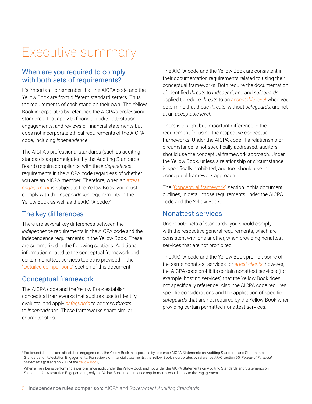# <span id="page-5-0"></span>Executive summary

## When are you required to comply with both sets of requirements?

It's important to remember that the AICPA code and the Yellow Book are from different standard setters. Thus, the requirements of each stand on their own. The Yellow Book incorporates by reference the AICPA's professional standards<sup>1</sup> that apply to financial audits, attestation engagements, and reviews of financial statements but does not incorporate ethical requirements of the AICPA code, including *independence*.

The AICPA's professional standards (such as auditing standards as promulgated by the Auditing Standards Board) require compliance with the *independence* requirements in the AICPA code regardless of whether you are an AICPA member. Therefore, when an *[attest](http://pub.aicpa.org/codeofconduct/resourceseamlesslogin.aspx?prod=ethics&tdoc=et-cod&tptr=et-cod0.400.04) [engagement](http://pub.aicpa.org/codeofconduct/resourceseamlesslogin.aspx?prod=ethics&tdoc=et-cod&tptr=et-cod0.400.04)* is subject to the Yellow Book, you must comply with the *independence* requirements in the Yellow Book as well as the AICPA code.<sup>2</sup>

# The key differences

There are several key differences between the *independence* requirements in the AICPA code and the independence requirements in the Yellow Book. These are summarized in the following sections. Additional information related to the conceptual framework and certain nonattest services topics is provided in the ["Detailed comparisons"](#page-7-0) section of this document.

# Conceptual framework

The AICPA code and the Yellow Book establish conceptual frameworks that auditors use to identify, evaluate, and apply *[safeguards](http://pub.aicpa.org/codeofconduct/resourceseamlesslogin.aspx?prod=ethics&tdoc=et-cod&tptr=et-cod0.400.43)* to address *threats* to *independence*. These frameworks share similar characteristics.

The AICPA code and the Yellow Book are consistent in their documentation requirements related to using their conceptual frameworks. Both require the documentation of identified *threats* to *independence* and *safeguards* applied to reduce *threats* to an *[acceptable level](http://pub.aicpa.org/codeofconduct/resourceseamlesslogin.aspx?prod=ethics&tdoc=et-cod&tptr=et-cod0.400.01)* when you determine that those *threats*, without *safeguards*, are not at an *acceptable level*.

There is a slight but important difference in the requirement for using the respective conceptual frameworks. Under the AICPA code, if a relationship or circumstance is not specifically addressed, auditors should use the conceptual framework approach. Under the Yellow Book, unless a relationship or circumstance is specifically prohibited, auditors should use the conceptual framework approach.

The "[Conceptual framework"](#page-7-0) section in this document outlines, in detail, those requirements under the AICPA code and the Yellow Book.

## Nonattest services

Under both sets of standards, you should comply with the respective general requirements, which are consistent with one another, when providing nonattest services that are not prohibited.

The AICPA code and the Yellow Book prohibit some of the same nonattest services for *[attest clients](http://pub.aicpa.org/codeofconduct/resourceseamlesslogin.aspx?prod=ethics&tdoc=et-cod&tptr=et-cod0.400.03)*; however, the AICPA code prohibits certain nonattest services (for example, hosting services) that the Yellow Book does not specifically reference. Also, the AICPA code requires specific considerations and the application of specific *safeguards* that are not required by the Yellow Book when providing certain permitted nonattest services.

<sup>&</sup>lt;sup>1</sup> For financial audits and attestation engagements, the Yellow Book incorporates by reference AICPA Statements on Auditing Standards and Statements on Standards for Attestation Engagements. For reviews of financial statements, the Yellow Book incorporates by reference AR-C section 90, *Review of Financial*  Statements (paragraph 2.13 of the Yellow Book).

<sup>&</sup>lt;sup>2</sup> When a member is performing a performance audit under the Yellow Book and not under the AICPA Statements on Auditing Standards and Statements on Standards for Attestation Engagements, only the Yellow Book independence requirements would apply to the engagement.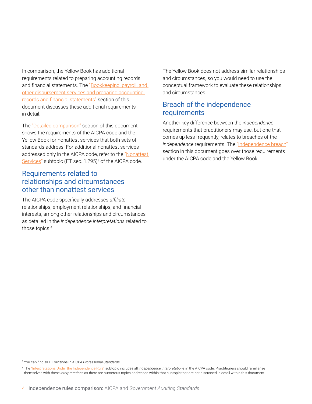<span id="page-6-0"></span>In comparison, the Yellow Book has additional requirements related to preparing accounting records and financial statements. The "[Bookkeeping, payroll, and](#page-23-0)  [other disbursement services and preparing accounting](#page-23-0)  [records and financial statements](#page-23-0)" section of this document discusses these additional requirements in detail.

The "**Detailed comparison**" section of this document shows the requirements of the AICPA code and the Yellow Book for nonattest services that both sets of standards address. For additional nonattest services addressed only in the AICPA code, refer to the "[Nonattest](http://pub.aicpa.org/codeofconduct/resourceseamlesslogin.aspx?prod=ethics&tdoc=et-cod&tptr=et-cod1.295)  [Services"](http://pub.aicpa.org/codeofconduct/resourceseamlesslogin.aspx?prod=ethics&tdoc=et-cod&tptr=et-cod1.295) subtopic (ET sec. 1.295)<sup>3</sup> of the AICPA code.

## Requirements related to relationships and circumstances other than nonattest services

The AICPA code specifically addresses *affiliate* relationships, employment relationships, and financial interests, among other relationships and circumstances, as detailed in the *independence interpretations* related to those topics.4

The Yellow Book does not address similar relationships and circumstances, so you would need to use the conceptual framework to evaluate these relationships and circumstances.

## Breach of the independence requirements

Another key difference between the *independence* requirements that practitioners may use, but one that comes up less frequently, relates to breaches of the independence requirements. The "[Independence breach"](#page-41-0) section in this document goes over those requirements under the AICPA code and the Yellow Book.

<sup>3</sup> You can find all ET sections in AICPA *Professional Standards*.

<sup>4</sup> The "[Interpretations Under the Independence Rule](http://pub.aicpa.org/codeofconduct/resourceseamlesslogin.aspx?prod=ethics&tdoc=et-cod&tptr=et-cod1.200_interpretations_under_the_independence)" subtopic includes all *independence interpretations* in the AICPA code. Practitioners should familiarize themselves with these *interpretations* as there are numerous topics addressed within that subtopic that are not discussed in detail within this document.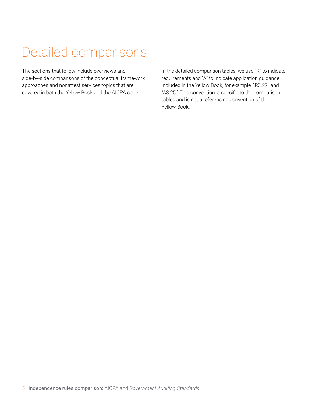# <span id="page-7-0"></span>Detailed comparisons

The sections that follow include overviews and side-by-side comparisons of the conceptual framework approaches and nonattest services topics that are covered in both the Yellow Book and the AICPA code.

In the detailed comparison tables, we use "R" to indicate requirements and "A" to indicate application guidance included in the Yellow Book, for example, "R3.27" and "A3.25." This convention is specific to the comparison tables and is not a referencing convention of the Yellow Book.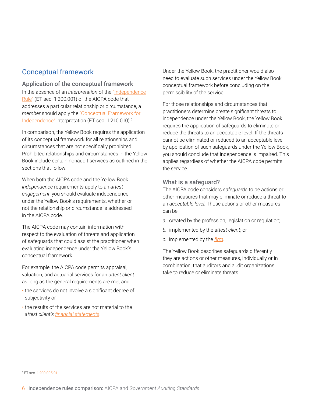# <span id="page-8-0"></span>Conceptual framework

Application of the conceptual framework In the absence of an *interpretation* of the ["Independence](https://pub.aicpa.org/codeofconduct/ethics.aspx?targetdoc=et-cod&targetptr=et-cod1.200.001) [Rule](https://pub.aicpa.org/codeofconduct/ethics.aspx?targetdoc=et-cod&targetptr=et-cod1.200.001)" (ET sec. 1.200.001) of the AICPA code that addresses a particular relationship or circumstance, a *member* should apply the ["Conceptual Framework for](http://pub.aicpa.org/codeofconduct/resourceseamlesslogin.aspx?prod=ethics&tdoc=et-cod&tptr=et-cod1.210)  [Independence](http://pub.aicpa.org/codeofconduct/resourceseamlesslogin.aspx?prod=ethics&tdoc=et-cod&tptr=et-cod1.210)" interpretation (ET sec. 1.210.010).<sup>5</sup>

In comparison, the Yellow Book requires the application of its conceptual framework for all relationships and circumstances that are not specifically prohibited. Prohibited relationships and circumstances in the Yellow Book include certain nonaudit services as outlined in the sections that follow.

When both the AICPA code and the Yellow Book *independence* requirements apply to an *attest engagement*, you should evaluate independence under the Yellow Book's requirements, whether or not the relationship or circumstance is addressed in the AICPA code.

The AICPA code may contain information with respect to the evaluation of threats and application of safeguards that could assist the practitioner when evaluating independence under the Yellow Book's conceptual framework.

For example, the AICPA code permits appraisal, valuation, and actuarial services for an *attest client* as long as the general requirements are met and

- the services do not involve a significant degree of subjectivity or
- the results of the services are not material to the *attest client's [financial statements](http://pub.aicpa.org/codeofconduct/resourceseamlesslogin.aspx?prod=ethics&tdoc=et-cod&tptr=et-cod0.400.17)*.

Under the Yellow Book, the practitioner would also need to evaluate such services under the Yellow Book conceptual framework before concluding on the permissibility of the service.

For those relationships and circumstances that practitioners determine create significant threats to independence under the Yellow Book, the Yellow Book requires the application of safeguards to eliminate or reduce the threats to an acceptable level. If the threats cannot be eliminated or reduced to an acceptable level by application of such safeguards under the Yellow Book, you should conclude that independence is impaired. This applies regardless of whether the AICPA code permits the service.

### What is a safeguard?

The AICPA code considers *safeguards* to be actions or other measures that may eliminate or reduce a threat to an *acceptable level*. Those actions or other measures can be:

- *a.* created by the profession, legislation or regulation;
- *b.* implemented by the *attest client*; or
- *c.* implemented by the *[firm](http://pub.aicpa.org/codeofconduct/resourceseamlesslogin.aspx?prod=ethics&tdoc=et-cod&tptr=et-cod0.400.18)*.

The Yellow Book describes safeguards differently they are actions or other measures, individually or in combination, that auditors and audit organizations take to reduce or eliminate threats.

<sup>5</sup> ET sec. [1.200.005.01](http://pub.aicpa.org/codeofconduct/resourceseamlesslogin.aspx?prod=ethics&tdoc=et-cod&tptr=et-cod1.200.005)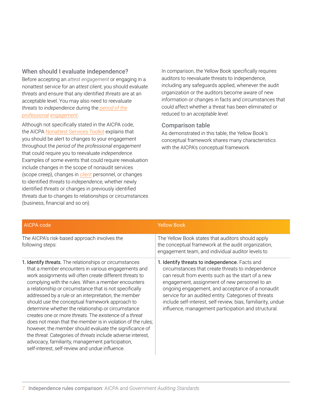### <span id="page-9-0"></span>When should I evaluate independence?

Before accepting an *[attest engagement](http://pub.aicpa.org/codeofconduct/resourceseamlesslogin.aspx?prod=ethics&tdoc=et-cod&tptr=et-cod0.400.04)* or engaging in a nonattest service for an *attest client*, you should evaluate *threats* and ensure that any identified *threats* are at an acceptable level. You may also need to reevaluate *threats* to *independence* during the *[period of the](http://pub.aicpa.org/codeofconduct/resourceseamlesslogin.aspx?prod=ethics&tdoc=et-cod&tptr=et-cod0.400.39)  professional [engagement](http://pub.aicpa.org/codeofconduct/resourceseamlesslogin.aspx?prod=ethics&tdoc=et-cod&tptr=et-cod0.400.39)*.

Although not specifically stated in the AICPA code, the AICPA [Nonattest Services Toolkit](https://www.aicpa.org/content/dam/aicpa/interestareas/professionalethics/resources/downloadabledocuments/toolkitsandaids/nonattest-services-toolkit.pdf) explains that you should be alert to changes to your engagement throughout the *period of the professional engagement* that could require you to reevaluate *independence*. Examples of some events that could require reevaluation include changes in the scope of nonaudit services (scope creep), changes in *[client](http://pub.aicpa.org/codeofconduct/resourceseamlesslogin.aspx?prod=ethics&tdoc=et-cod&tptr=et-cod0.400.07)* personnel, or changes to identified *threats* to *independence*, whether newly identified *threats* or changes in previously identified *threats* due to changes to relationships or circumstances (business, financial and so on).

In comparison, the Yellow Book specifically requires auditors to reevaluate threats to independence, including any safeguards applied, whenever the audit organization or the auditors become aware of new information or changes in facts and circumstances that could affect whether a threat has been eliminated or reduced to an *acceptable level*.

### Comparison table

As demonstrated in this table, the Yellow Book's conceptual framework shares many characteristics with the AICPA's conceptual framework.

| <b>AICPA code</b>                                                                                                                                                                                                                                                                                                                                                                                                                                                                                                                                                                                                                                                                                                                                                                                                     | <b>Yellow Book</b>                                                                                                                                                                                                                                                                                                                                                                                                                           |
|-----------------------------------------------------------------------------------------------------------------------------------------------------------------------------------------------------------------------------------------------------------------------------------------------------------------------------------------------------------------------------------------------------------------------------------------------------------------------------------------------------------------------------------------------------------------------------------------------------------------------------------------------------------------------------------------------------------------------------------------------------------------------------------------------------------------------|----------------------------------------------------------------------------------------------------------------------------------------------------------------------------------------------------------------------------------------------------------------------------------------------------------------------------------------------------------------------------------------------------------------------------------------------|
| The AICPA's risk-based approach involves the<br>following steps:                                                                                                                                                                                                                                                                                                                                                                                                                                                                                                                                                                                                                                                                                                                                                      | The Yellow Book states that auditors should apply<br>the conceptual framework at the audit organization,<br>engagement team, and individual auditor levels to                                                                                                                                                                                                                                                                                |
| 1. Identify threats. The relationships or circumstances<br>that a member encounters in various engagements and<br>work assignments will often create different threats to<br>complying with the rules. When a member encounters<br>a relationship or circumstance that is not specifically<br>addressed by a rule or an interpretation, the member<br>should use the conceptual framework approach to<br>determine whether the relationship or circumstance<br>creates one or more threats. The existence of a threat<br>does not mean that the member is in violation of the rules;<br>however, the member should evaluate the significance of<br>the threat. Categories of threats include adverse interest,<br>advocacy, familiarity, management participation,<br>self-interest, self-review and undue influence. | 1. Identify threats to independence. Facts and<br>circumstances that create threats to independence<br>can result from events such as the start of a new<br>engagement, assignment of new personnel to an<br>ongoing engagement, and acceptance of a nonaudit<br>service for an audited entity. Categories of threats<br>include self-interest, self-review, bias, familiarity, undue<br>influence, management participation and structural. |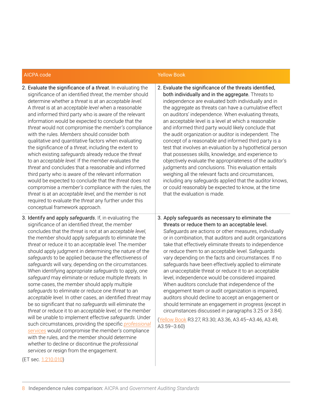#### AICPA code XVIII and AICPA code XVIII and AICPA code XVIII and AICPA code XVIII and AICPA code XVIII and AICPA

- 2. Evaluate the significance of a *threat*. In evaluating the significance of an identified *threat*, the *member* should determine whether a *threat* is at an *acceptable level*. A *threat* is at an *acceptable level* when a reasonable and informed third party who is aware of the relevant information would be expected to conclude that the *threat* would not compromise the *member's* compliance with the rules. *Members* should consider both qualitative and quantitative factors when evaluating the significance of a *threat*, including the extent to which existing *safeguards* already reduce the *threat* to an *acceptable level*. If the *member* evaluates the *threat* and concludes that a reasonable and informed third party who is aware of the relevant information would be expected to conclude that the *threat* does not compromise a *member's* compliance with the rules, the *threat* is at an *acceptable level*, and the *member* is not required to evaluate the *threat* any further under this conceptual framework approach.
- 3. Identify and apply *safeguards*. If, in evaluating the significance of an identified *threat*, the *member* concludes that the *threat* is not at an *acceptable level*, the *member* should apply *safeguards* to eliminate the *threat* or reduce it to an *acceptable level*. The *member* should apply judgment in determining the nature of the *safeguards* to be applied because the effectiveness of *safeguards* will vary, depending on the circumstances. When identifying appropriate *safeguards* to apply, one *safeguard* may eliminate or reduce multiple *threats*. In some cases, the *member* should apply multiple *safeguards* to eliminate or reduce one *threat* to an *acceptable level*. In other cases, an identified *threat* may be so significant that no *safeguards* will eliminate the *threat* or reduce it to an *acceptable level*, or the *member* will be unable to implement effective *safeguards*. Under such circumstances, providing the specific *[professional](https://pub.aicpa.org/codeofconduct/ethics.aspx?targetdoc=et-cod&targetptr=et-cod0.400.40) [services](https://pub.aicpa.org/codeofconduct/ethics.aspx?targetdoc=et-cod&targetptr=et-cod0.400.40)* would compromise the *member's* compliance with the rules, and the *member* should determine whether to decline or discontinue the *professional services* or resign from the engagement.

2. Evaluate the significance of the threats identified, both individually and in the aggregate. Threats to independence are evaluated both individually and in the aggregate as threats can have a cumulative effect on auditors' independence. When evaluating threats, an acceptable level is a level at which a reasonable and informed third party would likely conclude that the audit organization or auditor is independent. The concept of a reasonable and informed third party is a test that involves an evaluation by a hypothetical person that possesses skills, knowledge, and experience to objectively evaluate the appropriateness of the auditor's judgments and conclusions. This evaluation entails weighing all the relevant facts and circumstances, including any safeguards applied that the auditor knows, or could reasonably be expected to know, at the time that the evaluation is made.

3. Apply safeguards as necessary to eliminate the threats or reduce them to an acceptable level. Safeguards are actions or other measures, individually or in combination, that auditors and audit organizations take that effectively eliminate threats to independence or reduce them to an acceptable level. Safeguards vary depending on the facts and circumstances. If no safeguards have been effectively applied to eliminate an unacceptable threat or reduce it to an acceptable level, independence would be considered impaired. When auditors conclude that independence of the engagement team or audit organization is impaired, auditors should decline to accept an engagement or should terminate an engagement in progress (except in circumstances discussed in paragraphs 3.25 or 3.84).

([Yellow Book](https://www.gao.gov/yellowbook) R3.27, R3.30; A3.36, A3.45–A3.46, A3.49, A3.59–3.60)

(ET sec. [1.210.010\)](http://pub.aicpa.org/codeofconduct/resourceseamlesslogin.aspx?prod=ethics&tdoc=et-cod&tptr=et-cod1.210.010)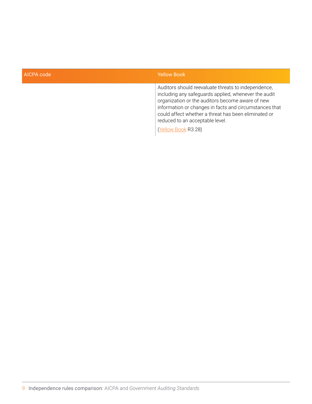|  |  | AICPA code |  |
|--|--|------------|--|

#### Yellow Book

Auditors should reevaluate threats to independence, including any safeguards applied, whenever the audit organization or the auditors become aware of new information or changes in facts and circumstances that could affect whether a threat has been eliminated or reduced to an acceptable level.

([Yellow Book](https://www.gao.gov/yellowbook) R3.28)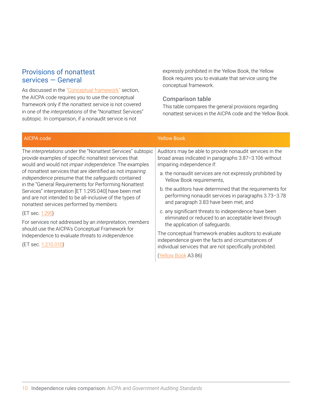# <span id="page-12-0"></span>Provisions of nonattest services — General

As discussed in the ["Conceptual framework](#page-7-0)" section, the AICPA code requires you to use the conceptual framework only if the nonattest service is not covered in one of the *interpretations* of the "Nonattest Services" subtopic. In comparison, if a nonaudit service is not

expressly prohibited in the Yellow Book, the Yellow Book requires you to evaluate that service using the conceptual framework.

#### Comparison table

This table compares the general provisions regarding nonattest services in the AICPA code and the Yellow Book.

| <b>AICPA code</b>                                                                                                                                                            | <b>Yellow Book</b>                                                                                                                                         |
|------------------------------------------------------------------------------------------------------------------------------------------------------------------------------|------------------------------------------------------------------------------------------------------------------------------------------------------------|
| The interpretations under the "Nonattest Services" subtopic<br>provide examples of specific nonattest services that<br>would and would not impair independence. The examples | Auditors may be able to provide nonaudit services in the<br>broad areas indicated in paragraphs 3.87-3.106 without<br>impairing independence if:           |
| of nonattest services that are identified as not impairing<br>independence presume that the safeguards contained<br>in the "General Requirements for Performing Nonattest    | a. the nonaudit services are not expressly prohibited by<br>Yellow Book requirements,                                                                      |
| Services" interpretation [ET 1.295.040] have been met<br>and are not intended to be all-inclusive of the types of<br>nonattest services performed by members.                | b. the auditors have determined that the requirements for<br>performing nonaudit services in paragraphs 3.73-3.78<br>and paragraph 3.83 have been met, and |
| (ET sec. 1.295)                                                                                                                                                              | c. any significant threats to independence have been<br>eliminated or reduced to an acceptable level through                                               |
| For services not addressed by an interpretation, members<br>should use the AICPA's Conceptual Framework for                                                                  | the application of safeguards.                                                                                                                             |
| Independence to evaluate threats to independence.                                                                                                                            | The conceptual framework enables auditors to evaluate                                                                                                      |
| (ET sec. 1.210.010)                                                                                                                                                          | independence given the facts and circumstances of<br>individual services that are not specifically prohibited.                                             |

([Yellow Book](https://www.gao.gov/yellowbook) A3.86)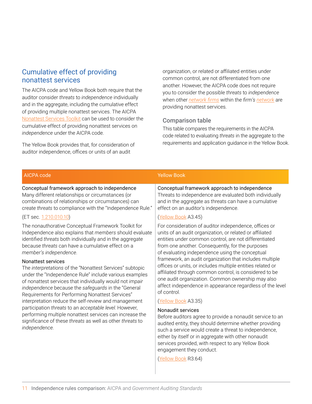# <span id="page-13-0"></span>Cumulative effect of providing nonattest services

The AICPA code and Yellow Book both require that the auditor consider *threats* to *independence* individually and in the aggregate, including the cumulative effect of providing multiple nonattest services. The AICPA [Nonattest Services Toolkit](https://www.aicpa.org/content/dam/aicpa/interestareas/professionalethics/resources/downloadabledocuments/toolkitsandaids/nonattest-services-toolkit.pdf) can be used to consider the cumulative effect of providing nonattest services on *independence* under the AICPA code.

The Yellow Book provides that, for consideration of auditor independence, offices or units of an audit

organization, or related or affiliated entities under common control, are not differentiated from one another. However, the AICPA code does not require you to consider the possible *threats* to *independence* when other *[network firms](http://pub.aicpa.org/codeofconduct/resourceseamlesslogin.aspx?prod=ethics&tdoc=et-cod&tptr=et-cod0.400.34)* within the *[firm's network](http://pub.aicpa.org/codeofconduct/resourceseamlesslogin.aspx?prod=ethics&tdoc=et-cod&tptr=et-cod0.400.33)* are providing nonattest services.

### Comparison table

This table compares the requirements in the AICPA code related to evaluating *threats* in the aggregate to the requirements and application guidance in the Yellow Book.

### AICPA code XVIII Alternative Contract Contract Contract Contract Contract Contract Contract Contract Contract Contract Contract Contract Contract Contract Contract Contract Contract Contract Contract Contract Contract Cont

### Conceptual framework approach to independence Many different relationships or circumstances (or combinations of relationships or circumstances) can create *threats* to compliance with the "Independence Rule."

### (ET sec. [1.210.010.10\)](http://pub.aicpa.org/codeofconduct/resourceseamlesslogin.aspx?prod=ethics&tdoc=et-cod&tptr=et-cod1.210.010.10)

The nonauthorative Conceptual Framework Toolkit for Independence also explains that *members* should evaluate identified *threats* both individually and in the aggregate because *threats* can have a cumulative effect on a *member's independence*.

### Nonattest services

The *interpretations* of the "Nonattest Services" subtopic under the "Independence Rule" include various examples of nonattest services that individually would not *impair independence* because the *safeguards* in the "General Requirements for Performing Nonattest Services" interpretation reduce the self-review and management participation *threats* to an *acceptable level*. However, performing multiple nonattest services can increase the significance of these *threats* as well as other *threats* to *independence*.

Conceptual framework approach to independence Threats to independence are evaluated both individually and in the aggregate as threats can have a cumulative effect on an auditor's independence.

### ([Yellow Book](https://www.gao.gov/yellowbook) A3.45)

For consideration of auditor independence, offices or units of an audit organization, or related or affiliated entities under common control, are not differentiated from one another. Consequently, for the purposes of evaluating independence using the conceptual framework, an audit organization that includes multiple offices or units, or includes multiple entities related or affiliated through common control, is considered to be one audit organization. Common ownership may also affect independence in appearance regardless of the level of control.

### ([Yellow Book](https://www.gao.gov/yellowbook) A3.35)

### Nonaudit services

Before auditors agree to provide a nonaudit service to an audited entity, they should determine whether providing such a service would create a threat to independence, either by itself or in aggregate with other nonaudit services provided, with respect to any Yellow Book engagement they conduct.

([Yellow Book](https://www.gao.gov/yellowbook) R3.64)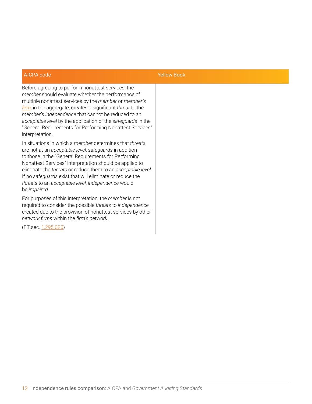#### AICPA code XVIII and AICPA code XVIII and AICPA code XVIII and AICPA code XVIII and AICPA code XVIII and AICPA

Before agreeing to perform nonattest services, the *member* should evaluate whether the performance of multiple nonattest services by the *member* or *member's [firm](http://pub.aicpa.org/codeofconduct/resourceseamlesslogin.aspx?prod=ethics&tdoc=et-cod&tptr=et-cod0.400.18)*, in the aggregate, creates a significant *threat* to the *member's independence* that cannot be reduced to an *acceptable level* by the application of the *safeguards* in the "General Requirements for Performing Nonattest Services" interpretation.

In situations in which a *member* determines that *threats* are not at an *acceptable level*, *safeguards* in addition to those in the "General Requirements for Performing Nonattest Services" interpretation should be applied to eliminate the *threats* or reduce them to an *acceptable level*. If no *safeguards* exist that will eliminate or reduce the *threats* to an *acceptable level*, *independence* would be *impaired*.

For purposes of this interpretation, the *member* is not required to consider the possible *threats* to *independence* created due to the provision of nonattest services by other *network firms* within the *firm's network*.

(ET sec. [1.295.020](http://pub.aicpa.org/codeofconduct/resourceseamlesslogin.aspx?prod=ethics&tdoc=et-cod&tptr=et-cod1.295.020))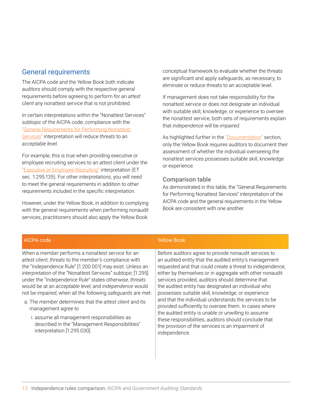# <span id="page-15-0"></span>General requirements

The AICPA code and the Yellow Book both indicate auditors should comply with the respective general requirements before agreeing to perform for an *attest client* any nonattest service that is not prohibited.

In certain *interpretations* within the "Nonattest Services" subtopic of the AICPA code, compliance with the ["General Requirements for Performing Nonattest](http://pub.aicpa.org/codeofconduct/resourceseamlesslogin.aspx?prod=ethics&tdoc=et-cod&tptr=et-cod1.295.040)  [Services"](http://pub.aicpa.org/codeofconduct/resourceseamlesslogin.aspx?prod=ethics&tdoc=et-cod&tptr=et-cod1.295.040) interpretation will reduce *threats* to an *acceptable level.* 

For example, this is true when providing executive or employee recruiting services to an *attest client* under the ["Executive or Employee Recruiting](http://pub.aicpa.org/codeofconduct/resourceseamlesslogin.aspx?prod=ethics&tdoc=et-cod&tptr=et-cod1.295.135)" interpretation (ET sec. 1.295.135). For other *interpretations*, you will need to meet the general requirements in addition to other requirements included in the specific *interpretation*.

However, under the Yellow Book, in addition to complying with the general requirements when performing nonaudit services, practitioners should also apply the Yellow Book

conceptual framework to evaluate whether the threats are significant and apply safeguards, as necessary, to eliminate or reduce threats to an acceptable level.

If management does not take responsibility for the nonattest service or does not designate an individual with suitable skill, knowledge, or experience to oversee the nonattest service, both sets of requirements explain that *independence* will be *impaired*.

As highlighted further in the ["Documentation"](#page-20-0) section, only the Yellow Book requires auditors to document their assessment of whether the individual overseeing the nonattest services possesses suitable skill, knowledge or experience.

### Comparison table

As demonstrated in this table, the "General Requirements for Performing Nonattest Services" interpretation of the AICPA code and the general requirements in the Yellow Book are consistent with one another.

### AICPA code XVIII and AICPA code XVIII and AICPA code XVIII and AICPA code XVIII and AICPA code XVIII and AICPA

When a *member* performs a nonattest service for an *attest client*, *threats* to the *member's* compliance with the "Independence Rule" [1.200.001] may exist. Unless an *interpretation* of the "Nonattest Services" subtopic [1.295] under the "Independence Rule" states otherwise, *threats* would be at an *acceptable level*, and *independence* would not be *impaired*, when all the following *safeguards* are met:

- a. The *member* determines that the *attest client* and its management agree to
	- i. assume all management responsibilities as described in the "Management Responsibilities" interpretation [1.295.030].

Before auditors agree to provide nonaudit services to an audited entity that the audited entity's management requested and that could create a threat to independence, either by themselves or in aggregate with other nonaudit services provided, auditors should determine that the audited entity has designated an individual who possesses suitable skill, knowledge, or experience and that the individual understands the services to be provided sufficiently to oversee them. In cases where the audited entity is unable or unwilling to assume these responsibilities, auditors should conclude that the provision of the services is an impairment of independence.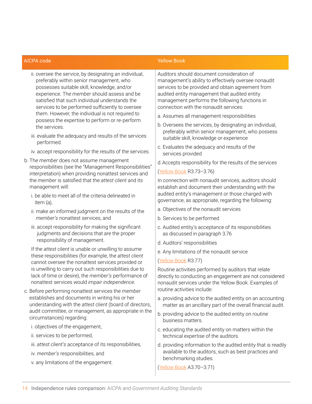#### AICPA code Yellow Book

- ii. oversee the service, by designating an individual, preferably within senior management, who possesses suitable skill, knowledge, and/or experience. The *member* should assess and be satisfied that such individual understands the services to be performed sufficiently to oversee them. However, the individual is not required to possess the expertise to perform or re-perform the services.
- iii. evaluate the adequacy and results of the services performed.
- iv. accept responsibility for the results of the services.
- b. The *member* does not assume management responsibilities (see the "Management Responsibilities" interpretation) when providing nonattest services and the *member* is satisfied that the *attest client* and its management will:
	- i. be able to meet all of the criteria delineated in item (a),
	- ii. make an informed judgment on the results of the *member's* nonattest services, and
	- iii. accept responsibility for making the significant judgments and decisions that are the proper responsibility of management.

If the *attest client* is unable or unwilling to assume these responsibilities (for example, the *attest client* cannot oversee the nonattest services provided or is unwilling to carry out such responsibilities due to lack of time or desire), the *member's* performance of nonattest services would *impair independence*.

- c. Before performing nonattest services the *member* establishes and documents in writing his or her understanding with the *attest client* (board of directors, audit committee, or management, as appropriate in the circumstances) regarding:
	- i. objectives of the engagement,
	- ii. services to be performed,
	- iii. *attest client's* acceptance of its responsibilities,
	- iv. *member's* responsibilities, and
	- v. any limitations of the engagement.

Auditors should document consideration of management's ability to effectively oversee nonaudit services to be provided and obtain agreement from audited entity management that audited entity management performs the following functions in connection with the nonaudit services:

- a. Assumes all management responsibilities
- b. Oversees the services, by designating an individual, preferably within senior management, who possess suitable skill, knowledge or experience
- c. Evaluates the adequacy and results of the services provided
- d.Accepts responsibility for the results of the services

#### ([Yellow Book](https://www.gao.gov/yellowbook) R3.73–3.76)

In connection with nonaudit services, auditors should establish and document their understanding with the audited entity's management or those charged with governance, as appropriate, regarding the following:

- a. Objectives of the nonaudit services
- b. Services to be performed
- c. Audited entity's acceptance of its responsibilities as discussed in paragraph 3.76
- d. Auditors' responsibilities
- e. Any limitations of the nonaudit service

#### ([Yellow Book](https://www.gao.gov/yellowbook) R3.77)

Routine activities performed by auditors that relate directly to conducting an engagement are not considered nonaudit services under the Yellow Book. Examples of routine activities include:

- a. providing advice to the audited entity on an accounting matter as an ancillary part of the overall financial audit.
- b. providing advice to the audited entity on routine business matters.
- c. educating the audited entity on matters within the technical expertise of the auditors.
- d. providing information to the audited entity that is readily available to the auditors, such as best practices and benchmarking studies.

([Yellow Book](https://www.gao.gov/yellowbook) A3.70–3.71)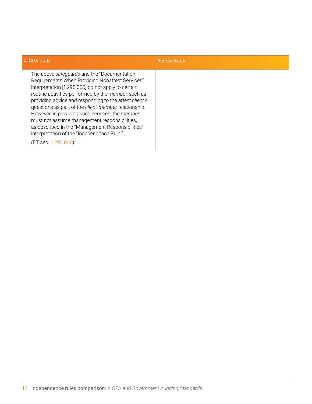| AICPA code                                                                                                                                                                                                                                                                                                                                                                                                                                                                                                                                                        | <b>Yellow Book</b> |  |
|-------------------------------------------------------------------------------------------------------------------------------------------------------------------------------------------------------------------------------------------------------------------------------------------------------------------------------------------------------------------------------------------------------------------------------------------------------------------------------------------------------------------------------------------------------------------|--------------------|--|
| The above safeguards and the "Documentation<br>Requirements When Providing Nonattest Services"<br>interpretation [1.295.050] do not apply to certain<br>routine activities performed by the member, such as<br>providing advice and responding to the attest client's<br>questions as part of the <i>client-member</i> relationship.<br>However, in providing such services, the member<br>must not assume management responsibilities,<br>as described in the "Management Responsibilities"<br>interpretation of the "Independence Rule."<br>(ET sec. 1.295.040) |                    |  |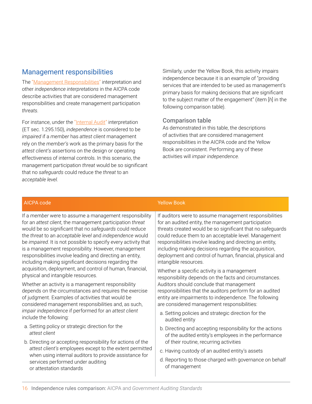# <span id="page-18-0"></span>Management responsibilities

The "[Management Responsibilities"](https://pub.aicpa.org/codeofconduct/ethics.aspx?targetdoc=et-cod&targetptr=et-cod1.295.030) interpretation and other *independence interpretations* in the AICPA code describe activities that are considered management responsibilities and create management participation *threats*.

For instance, under the "[Internal Audit](https://pub.aicpa.org/codeofconduct/ethics.aspx?targetdoc=et-cod&targetptr=et-cod1.295.150)" interpretation (ET sec. 1.295.150), *independence* is considered to be *impaired* if a *member* has *attest client* management rely on the *member's* work as the primary basis for the *attest client's* assertions on the design or operating effectiveness of internal controls. In this scenario, the management participation *threat* would be so significant that no *safeguards* could reduce the *threat* to an *acceptable level*.

Similarly, under the Yellow Book, this activity impairs independence because it is an example of "providing services that are intended to be used as management's primary basis for making decisions that are significant to the subject matter of the engagement" (item [*h*] in the following comparison table).

### Comparison table

As demonstrated in this table, the descriptions of activities that are considered management responsibilities in the AICPA code and the Yellow Book are consistent. Performing any of these activities will *impair independence*.

| <b>AICPA code</b>                                                                                                  | <b>Yellow Book</b>                                         |
|--------------------------------------------------------------------------------------------------------------------|------------------------------------------------------------|
| If a member were to assume a management responsibility                                                             | If auditors were to assume management responsibilities     |
| for an attest client, the management participation threat                                                          | for an audited entity, the management participation        |
| would be so significant that no safeguards could reduce                                                            | threats created would be so significant that no safeguards |
| the threat to an acceptable level and independence would                                                           | could reduce them to an acceptable level. Management       |
| be impaired. It is not possible to specify every activity that                                                     | responsibilities involve leading and directing an entity,  |
| is a management responsibility. However, management                                                                | including making decisions regarding the acquisition,      |
| responsibilities involve leading and directing an entity,                                                          | deployment and control of human, financial, physical and   |
| including making significant decisions regarding the                                                               | intangible resources.                                      |
| acquisition, deployment, and control of human, financial,                                                          | Whether a specific activity is a management                |
| physical and intangible resources.                                                                                 | responsibility depends on the facts and circumstances.     |
| Whether an activity is a management responsibility                                                                 | Auditors should conclude that management                   |
| depends on the circumstances and requires the exercise                                                             | responsibilities that the auditors perform for an audited  |
| of judgment. Examples of activities that would be                                                                  | entity are impairments to independence. The following      |
| considered management responsibilities and, as such,                                                               | are considered management responsibilities:                |
| impair independence if performed for an attest client                                                              | a. Setting policies and strategic direction for the        |
| include the following:                                                                                             | audited entity                                             |
| a. Setting policy or strategic direction for the                                                                   | b. Directing and accepting responsibility for the actions  |
| attest client                                                                                                      | of the audited entity's employees in the performance       |
| b. Directing or accepting responsibility for actions of the                                                        | of their routine, recurring activities                     |
| attest client's employees except to the extent permitted<br>when using internal auditors to provide assistance for | c. Having custody of an audited entity's assets            |
| services performed under auditing                                                                                  | d. Reporting to those charged with governance on behalf    |
| or attestation standards                                                                                           | of management                                              |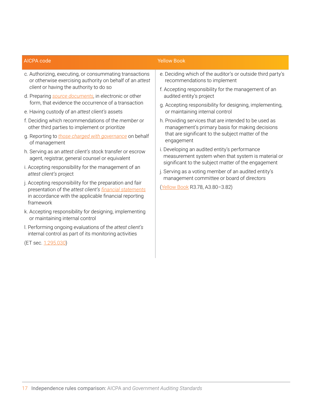| AICPA code                                                                                                                                                                                        | <b>Yellow Book</b>                                                                                                                                         |
|---------------------------------------------------------------------------------------------------------------------------------------------------------------------------------------------------|------------------------------------------------------------------------------------------------------------------------------------------------------------|
| c. Authorizing, executing, or consummating transactions                                                                                                                                           | e. Deciding which of the auditor's or outside third party's                                                                                                |
| or otherwise exercising authority on behalf of an attest                                                                                                                                          | recommendations to implement                                                                                                                               |
| client or having the authority to do so                                                                                                                                                           | f. Accepting responsibility for the management of an                                                                                                       |
| d. Preparing source documents, in electronic or other                                                                                                                                             | audited entity's project                                                                                                                                   |
| form, that evidence the occurrence of a transaction                                                                                                                                               | g. Accepting responsibility for designing, implementing,                                                                                                   |
| e. Having custody of an attest client's assets                                                                                                                                                    | or maintaining internal control                                                                                                                            |
| f. Deciding which recommendations of the member or                                                                                                                                                | h. Providing services that are intended to be used as                                                                                                      |
| other third parties to implement or prioritize                                                                                                                                                    | management's primary basis for making decisions                                                                                                            |
| g. Reporting to those charged with governance on behalf                                                                                                                                           | that are significant to the subject matter of the                                                                                                          |
| of management                                                                                                                                                                                     | engagement                                                                                                                                                 |
| h. Serving as an attest client's stock transfer or escrow<br>agent, registrar, general counsel or equivalent                                                                                      | i. Developing an audited entity's performance<br>measurement system when that system is material or<br>significant to the subject matter of the engagement |
| i. Accepting responsibility for the management of an                                                                                                                                              | j. Serving as a voting member of an audited entity's                                                                                                       |
| attest client's project                                                                                                                                                                           | management committee or board of directors                                                                                                                 |
| j. Accepting responsibility for the preparation and fair<br>presentation of the attest client's <i>financial statements</i><br>in accordance with the applicable financial reporting<br>framework | <u>(Yellow Book</u> R3.78, A3.80–3.82)                                                                                                                     |

- k. Accepting responsibility for designing, implementing or maintaining internal control
- l. Performing ongoing evaluations of the *attest client's* internal control as part of its monitoring activities
- (ET sec. [1.295.030](http://pub.aicpa.org/codeofconduct/resourceseamlesslogin.aspx?prod=ethics&tdoc=et-cod&tptr=et-cod1.295.030))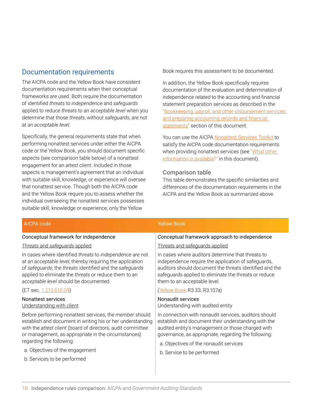# <span id="page-20-0"></span>Documentation requirements

The AICPA code and the Yellow Book have consistent documentation requirements when their conceptual frameworks are used. Both require the documentation of identified *threats* to *independence* and *safeguards* applied to reduce *threats* to an *acceptable level* when you determine that those *threats*, without *safeguards*, are not at an *acceptable level.*

Specifically, the general requirements state that when performing nonattest services under either the AICPA code or the Yellow Book, you should document specific aspects (see comparison table below) of a nonattest engagement for an *attest client*. Included in those aspects is management's agreement that an individual with suitable skill, knowledge, or experience will oversee that nonattest service. Though both the AICPA code and the Yellow Book require you to assess whether the individual overseeing the nonattest services possesses suitable skill, knowledge or experience, only the Yellow

Book requires this assessment to be documented.

In addition, the Yellow Book specifically requires documentation of the evaluation and determination of independence related to the accounting and financial statement preparation services as described in the "[Bookkeeping, payroll, and other disbursement services](#page-23-0)  [and preparing accounting records and financial](#page-23-0)  [statements"](#page-23-0) section of this document.

You can use the AICPA [Nonattest Services Toolkit](https://www.aicpa.org/content/dam/aicpa/interestareas/professionalethics/resources/downloadabledocuments/toolkitsandaids/nonattest-services-toolkit.pdf) to satisfy the AICPA code documentation requirements when providing nonattest services (see "What other [information is available?](#page-1-0)" in this document).

### Comparison table

This table demonstrates the specific similarities and differences of the documentation requirements in the AICPA and the Yellow Book as summarized above.

| AICPA code                                                                                                                                                                                                                                                                            | <b>Yellow Book</b>                                                                                                                                                                                                                                                  |
|---------------------------------------------------------------------------------------------------------------------------------------------------------------------------------------------------------------------------------------------------------------------------------------|---------------------------------------------------------------------------------------------------------------------------------------------------------------------------------------------------------------------------------------------------------------------|
| Conceptual framework for independence                                                                                                                                                                                                                                                 | Conceptual framework approach to independence                                                                                                                                                                                                                       |
| Threats and safeguards applied                                                                                                                                                                                                                                                        | Threats and safeguards applied                                                                                                                                                                                                                                      |
| In cases where identified threats to independence are not<br>at an acceptable level, thereby requiring the application<br>of safeguards, the threats identified and the safeguards<br>applied to eliminate the threats or reduce them to an<br>acceptable level should be documented. | In cases where auditors determine that threats to<br>independence require the application of safeguards,<br>auditors should document the threats identified and the<br>safeguards applied to eliminate the threats or reduce<br>them to an acceptable level.        |
| (ET sec. 1.210.010.09)                                                                                                                                                                                                                                                                | (Yellow Book R3.33, R3.107a)                                                                                                                                                                                                                                        |
| Nonattest services<br>Understanding with client                                                                                                                                                                                                                                       | Nonaudit services<br>Understanding with audited entity                                                                                                                                                                                                              |
| Before performing nonattest services, the member should<br>establish and document in writing his or her understanding<br>with the attest client (board of directors, audit committee<br>or management, as appropriate in the circumstances)<br>regarding the following:               | In connection with nonaudit services, auditors should<br>establish and document their understanding with the<br>audited entity's management or those charged with<br>governance, as appropriate, regarding the following:<br>a. Objectives of the nonaudit services |
| a. Objectives of the engagement                                                                                                                                                                                                                                                       | b. Service to be performed                                                                                                                                                                                                                                          |
| b. Services to be performed                                                                                                                                                                                                                                                           |                                                                                                                                                                                                                                                                     |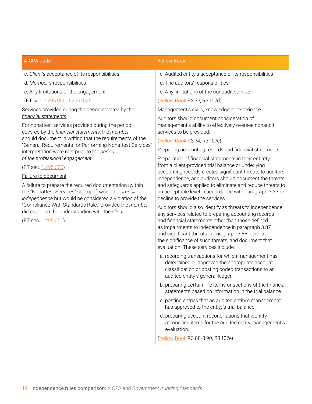| <b>AICPA code</b>                                                                                                                                                                                                                                                                                                                                                                                                                                                                                                                                                                                                                                                                                                                                          | <b>Yellow Book</b>                                                                                                                                                                                                                                                                                                                                                                                                                                                                                                                                                                                    |
|------------------------------------------------------------------------------------------------------------------------------------------------------------------------------------------------------------------------------------------------------------------------------------------------------------------------------------------------------------------------------------------------------------------------------------------------------------------------------------------------------------------------------------------------------------------------------------------------------------------------------------------------------------------------------------------------------------------------------------------------------------|-------------------------------------------------------------------------------------------------------------------------------------------------------------------------------------------------------------------------------------------------------------------------------------------------------------------------------------------------------------------------------------------------------------------------------------------------------------------------------------------------------------------------------------------------------------------------------------------------------|
| c. Client's acceptance of its responsibilities<br>d. Member's responsibilities                                                                                                                                                                                                                                                                                                                                                                                                                                                                                                                                                                                                                                                                             | c. Audited entity's acceptance of its responsibilities<br>d. The auditors' responsibilities                                                                                                                                                                                                                                                                                                                                                                                                                                                                                                           |
| e. Any limitations of the engagement<br>(ET sec. 1.295.050, 1.295.040)                                                                                                                                                                                                                                                                                                                                                                                                                                                                                                                                                                                                                                                                                     | e. Any limitations of the nonaudit service<br>(Yellow Book R3.77, R3.107d)                                                                                                                                                                                                                                                                                                                                                                                                                                                                                                                            |
| Services provided during the period covered by the<br>financial statements<br>For nonattest services provided during the period<br>covered by the financial statements, the member<br>should document in writing that the requirements of the<br>"General Requirements for Performing Nonattest Services"<br>interpretation were met prior to the period<br>of the professional engagement.<br>(ET sec. 1.295.050)<br>Failure to document<br>A failure to prepare the required documentation (within<br>the "Nonattest Services" subtopic) would not impair<br>independence but would be considered a violation of the<br>"Compliance With Standards Rule," provided the member<br>did establish the understanding with the client.<br>(ET sec. 1.295.050) | Management's skills, knowledge or experience<br>Auditors should document consideration of<br>management's ability to effectively oversee nonaudit<br>services to be provided.<br>(Yellow Book R3.74, R3.107c)<br>Preparing accounting records and financial statements<br>Preparation of financial statements in their entirety<br>from a client-provided trial balance or underlying<br>accounting records creates significant threats to auditors'                                                                                                                                                  |
|                                                                                                                                                                                                                                                                                                                                                                                                                                                                                                                                                                                                                                                                                                                                                            | independence, and auditors should document the threats<br>and safeguards applied to eliminate and reduce threats to<br>an acceptable level in accordance with paragraph 3.33 or<br>decline to provide the services.<br>Auditors should also identify as threats to independence<br>any services related to preparing accounting records<br>and financial statements other than those defined<br>as impairments to independence in paragraph 3.87<br>and significant threats in paragraph 3.88, evaluate<br>the significance of such threats, and document that<br>evaluation. These services include: |
|                                                                                                                                                                                                                                                                                                                                                                                                                                                                                                                                                                                                                                                                                                                                                            | a. recording transactions for which management has<br>determined or approved the appropriate account<br>classification or posting coded transactions to an<br>audited entity's general ledger.<br>b. preparing certain line items or sections of the financial<br>statements based on information in the trial balance.<br>c. posting entries that an audited entity's management<br>has approved to the entity's trial balance.                                                                                                                                                                      |

d. preparing account reconciliations that identify reconciling items for the audited entity management's evaluation.

([Yellow Book](https://www.gao.gov/yellowbook) R3.88-3.90, R3.107e)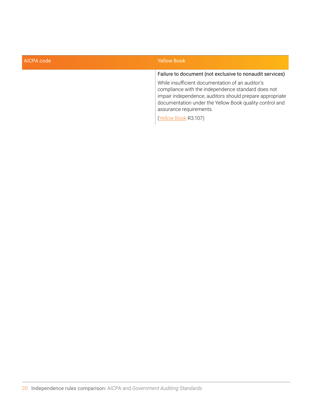| AICPA code | <b>Yellow Book</b>                                                                                                                                                                                                                                       |
|------------|----------------------------------------------------------------------------------------------------------------------------------------------------------------------------------------------------------------------------------------------------------|
|            | Failure to document (not exclusive to nonaudit services)                                                                                                                                                                                                 |
|            | While insufficient documentation of an auditor's<br>compliance with the independence standard does not<br>impair independence, auditors should prepare appropriate<br>documentation under the Yellow Book quality control and<br>assurance requirements. |
|            | (Yellow Book R3.107)                                                                                                                                                                                                                                     |
|            |                                                                                                                                                                                                                                                          |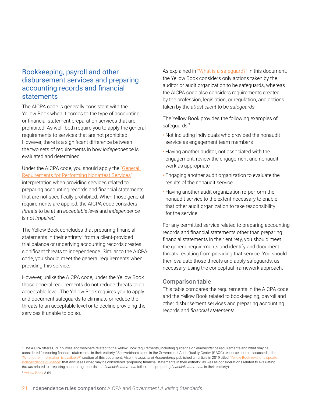# <span id="page-23-0"></span>Bookkeeping, payroll and other disbursement services and preparing accounting records and financial statements

The AICPA code is generally consistent with the Yellow Book when it comes to the type of accounting or financial statement preparation services that are prohibited. As well, both require you to apply the general requirements to services that are not prohibited. However, there is a significant difference between the two sets of requirements in how *independence* is evaluated and determined.

Under the AICPA code, you should apply the "[General](https://pub.aicpa.org/codeofconduct/ethics.aspx?targetdoc=et-cod&targetptr=et-cod1.295.040)  [Requirements for Performing Nonattest Services"](https://pub.aicpa.org/codeofconduct/ethics.aspx?targetdoc=et-cod&targetptr=et-cod1.295.040) interpretation when providing services related to preparing accounting records and financial statements that are not specifically prohibited. When those general requirements are applied, the AICPA code considers *threats* to be at an *acceptable level* and *independence* is not *impaired*.

The Yellow Book concludes that preparing financial statements in their entirety<sup>6</sup> from a client-provided trial balance or underlying accounting records creates significant threats to independence. Similar to the AICPA code, you should meet the general requirements when providing this service.

However, unlike the AICPA code, under the Yellow Book those general requirements do not reduce threats to an acceptable level. The Yellow Book requires you to apply and document safeguards to eliminate or reduce the threats to an acceptable level or to decline providing the services if unable to do so.

As explained in "[What is a safeguard?"](#page-7-0) in this document, the Yellow Book considers only actions taken by the auditor or audit organization to be safeguards, whereas the AICPA code also considers requirements created by the profession, legislation, or regulation, and actions taken by the *attest client* to be *safeguards*.

The Yellow Book provides the following examples of safeguards:7

- Not including individuals who provided the nonaudit service as engagement team members
- Having another auditor, not associated with the engagement, review the engagement and nonaudit work as appropriate
- Engaging another audit organization to evaluate the results of the nonaudit service
- Having another audit organization re-perform the nonaudit service to the extent necessary to enable that other audit organization to take responsibility for the service

For any permitted service related to preparing accounting records and financial statements other than preparing financial statements in their entirety, you should meet the general requirements and identify and document threats resulting from providing that service. You should then evaluate those threats and apply safeguards, as necessary, using the conceptual framework approach.

### Comparison table

This table compares the requirements in the AICPA code and the Yellow Book related to bookkeeping, payroll and other disbursement services and preparing accounting records and *financial statements*.

6 The AICPA offers CPE courses and webinars related to the Yellow Book requirements, including guidance on *independence* requirements and what may be considered "preparing financial statements in their entirety." See webinars listed in the Government Audit Quality Center (GAQC) resource center discussed in the "What other information is available?" section of this document. Also, the *Journal of Accountancy* published an article in 2019 titled "[Yellow Book revisions update](https://www.journalofaccountancy.com/news/2019/apr/yellow-book-updates-independence-guidance-201919809.html#:~:text=Paragraph%203.88%20of%20the%202018,creates%20significant%20threats%20to%20independence.&text=Whether%20the%20services%20provided%20are%20material%20to%20the%20financial%20statements.)  [independence guidance"](https://www.journalofaccountancy.com/news/2019/apr/yellow-book-updates-independence-guidance-201919809.html#:~:text=Paragraph%203.88%20of%20the%202018,creates%20significant%20threats%20to%20independence.&text=Whether%20the%20services%20provided%20are%20material%20to%20the%20financial%20statements.) that discusses what may be considered "preparing financial statements in their entirety" as well as considerations related to evaluating *threats* related to preparing accounting records and *financial statements* (other than preparing *financial statements* in their entirety). <sup>7</sup> [Yellow Book](https://www.gao.gov/yellowbook) 3.69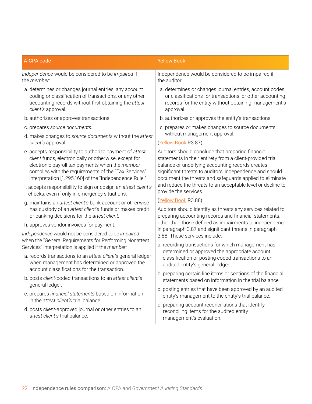| Independence would be considered to be impaired if<br>the member:<br>a. determines or changes journal entries, any account<br>coding or classification of transactions, or any other<br>accounting records without first obtaining the attest<br>client's approval.                    | Independence would be considered to be impaired if<br>the auditor:<br>a. determines or changes journal entries, account codes<br>or classifications for transactions, or other accounting<br>records for the entity without obtaining management's                                         |
|----------------------------------------------------------------------------------------------------------------------------------------------------------------------------------------------------------------------------------------------------------------------------------------|--------------------------------------------------------------------------------------------------------------------------------------------------------------------------------------------------------------------------------------------------------------------------------------------|
|                                                                                                                                                                                                                                                                                        |                                                                                                                                                                                                                                                                                            |
|                                                                                                                                                                                                                                                                                        | approval.                                                                                                                                                                                                                                                                                  |
| b. authorizes or approves transactions.                                                                                                                                                                                                                                                | b. authorizes or approves the entity's transactions.                                                                                                                                                                                                                                       |
| c. prepares source documents.                                                                                                                                                                                                                                                          | c. prepares or makes changes to source documents                                                                                                                                                                                                                                           |
| d. makes changes to source documents without the attest                                                                                                                                                                                                                                | without management approval.                                                                                                                                                                                                                                                               |
| client's approval.                                                                                                                                                                                                                                                                     | (Yellow Book R3.87)                                                                                                                                                                                                                                                                        |
| e. accepts responsibility to authorize payment of attest<br>client funds, electronically or otherwise, except for<br>electronic payroll tax payments when the member<br>complies with the requirements of the "Tax Services"<br>interpretation [1.295.160] of the "Independence Rule." | Auditors should conclude that preparing financial<br>statements in their entirety from a client-provided trial<br>balance or underlying accounting records creates<br>significant threats to auditors' independence and should<br>document the threats and safeguards applied to eliminate |
| f. accepts responsibility to sign or cosign an attest client's<br>checks, even if only in emergency situations.                                                                                                                                                                        | and reduce the threats to an acceptable level or decline to<br>provide the services.                                                                                                                                                                                                       |
| g. maintains an attest client's bank account or otherwise                                                                                                                                                                                                                              | (Yellow Book R3.88)                                                                                                                                                                                                                                                                        |
| has custody of an attest client's funds or makes credit<br>or banking decisions for the attest client.                                                                                                                                                                                 | Auditors should identify as threats any services related to<br>preparing accounting records and financial statements,                                                                                                                                                                      |
| h. approves vendor invoices for payment.                                                                                                                                                                                                                                               | other than those defined as impairments to independence<br>in paragraph 3.87 and significant threats in paragraph<br>3.88. These services include:                                                                                                                                         |
| Independence would not be considered to be impaired<br>when the "General Requirements for Performing Nonattest                                                                                                                                                                         |                                                                                                                                                                                                                                                                                            |
| Services" interpretation is applied if the member:                                                                                                                                                                                                                                     | a. recording transactions for which management has                                                                                                                                                                                                                                         |
| a. records transactions to an attest client's general ledger<br>when management has determined or approved the<br>account classifications for the transaction.                                                                                                                         | determined or approved the appropriate account<br>classification or posting coded transactions to an<br>audited entity's general ledger.                                                                                                                                                   |
| b. posts client-coded transactions to an attest client's<br>general ledger.                                                                                                                                                                                                            | b. preparing certain line items or sections of the financial<br>statements based on information in the trial balance.                                                                                                                                                                      |
| c. prepares financial statements based on information<br>in the attest client's trial balance.                                                                                                                                                                                         | c. posting entries that have been approved by an audited<br>entity's management to the entity's trial balance.                                                                                                                                                                             |
| d. posts client-approved journal or other entries to an<br>attest client's trial balance.                                                                                                                                                                                              | d. preparing account reconciliations that identify<br>reconciling items for the audited entity<br>management's evaluation.                                                                                                                                                                 |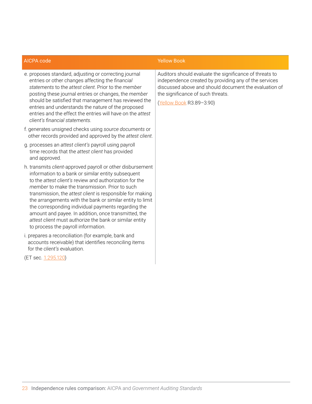| AICPA code                                                                                                                                                                                                                                                                                                                                                                                                                                                                                                                                                                       | <b>Yellow Book</b>                                                                                                                                                                                                                         |
|----------------------------------------------------------------------------------------------------------------------------------------------------------------------------------------------------------------------------------------------------------------------------------------------------------------------------------------------------------------------------------------------------------------------------------------------------------------------------------------------------------------------------------------------------------------------------------|--------------------------------------------------------------------------------------------------------------------------------------------------------------------------------------------------------------------------------------------|
| e. proposes standard, adjusting or correcting journal<br>entries or other changes affecting the financial<br>statements to the attest client. Prior to the member<br>posting these journal entries or changes, the member<br>should be satisfied that management has reviewed the<br>entries and understands the nature of the proposed<br>entries and the effect the entries will have on the attest<br>client's financial statements.                                                                                                                                          | Auditors should evaluate the significance of threats to<br>independence created by providing any of the services<br>discussed above and should document the evaluation of<br>the significance of such threats.<br>(Yellow Book R3.89-3.90) |
| f. generates unsigned checks using source documents or<br>other records provided and approved by the attest client.                                                                                                                                                                                                                                                                                                                                                                                                                                                              |                                                                                                                                                                                                                                            |
| g. processes an attest client's payroll using payroll<br>time records that the attest client has provided<br>and approved.                                                                                                                                                                                                                                                                                                                                                                                                                                                       |                                                                                                                                                                                                                                            |
| h. transmits <i>client</i> -approved payroll or other disbursement<br>information to a bank or similar entity subsequent<br>to the attest client's review and authorization for the<br>member to make the transmission. Prior to such<br>transmission, the attest client is responsible for making<br>the arrangements with the bank or similar entity to limit<br>the corresponding individual payments regarding the<br>amount and payee. In addition, once transmitted, the<br>attest client must authorize the bank or similar entity<br>to process the payroll information. |                                                                                                                                                                                                                                            |

i. prepares a reconciliation (for example, bank and accounts receivable) that identifies reconciling items

for the *client's* evaluation.

(ET sec. [1.295.120](http://pub.aicpa.org/codeofconduct/resourceseamlesslogin.aspx?prod=ethics&tdoc=et-cod&tptr=et-cod1.295.120))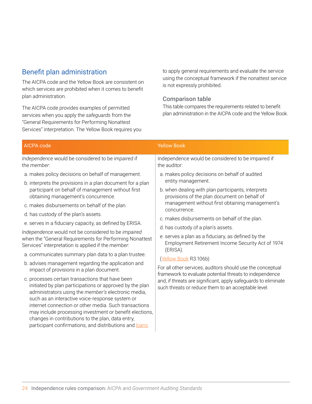# <span id="page-26-0"></span>Benefit plan administration

The AICPA code and the Yellow Book are consistent on which services are prohibited when it comes to benefit plan administration.

The AICPA code provides examples of permitted services when you apply the *safeguards* from the "General Requirements for Performing Nonattest Services" interpretation. The Yellow Book requires you to apply general requirements and evaluate the service using the conceptual framework if the nonattest service is not expressly prohibited.

### Comparison table

This table compares the requirements related to benefit plan administration in the AICPA code and the Yellow Book.

| <b>AICPA code</b>                                                                                                                                                                                                                                                                                                                                                                                                                                                                                                                                                                                | <b>Yellow Book</b>                                                                                                                                                                                                                                                                                                                                                                                                                                          |
|--------------------------------------------------------------------------------------------------------------------------------------------------------------------------------------------------------------------------------------------------------------------------------------------------------------------------------------------------------------------------------------------------------------------------------------------------------------------------------------------------------------------------------------------------------------------------------------------------|-------------------------------------------------------------------------------------------------------------------------------------------------------------------------------------------------------------------------------------------------------------------------------------------------------------------------------------------------------------------------------------------------------------------------------------------------------------|
| Independence would be considered to be impaired if<br>the member:                                                                                                                                                                                                                                                                                                                                                                                                                                                                                                                                | Independence would be considered to be impaired if<br>the auditor:                                                                                                                                                                                                                                                                                                                                                                                          |
| a. makes policy decisions on behalf of management.<br>b. interprets the provisions in a plan document for a plan<br>participant on behalf of management without first<br>obtaining management's concurrence.<br>c. makes disbursements on behalf of the plan.<br>d. has custody of the plan's assets.<br>e. serves in a fiduciary capacity, as defined by ERISA.<br>Independence would not be considered to be impaired<br>when the "General Requirements for Performing Nonattest<br>Services" interpretation is applied if the member:<br>a. communicates summary plan data to a plan trustee. | a. makes policy decisions on behalf of audited<br>entity management.<br>b. when dealing with plan participants, interprets<br>provisions of the plan document on behalf of<br>management without first obtaining management's<br>concurrence.<br>c. makes disbursements on behalf of the plan.<br>d. has custody of a plan's assets.<br>e. serves a plan as a fiduciary, as defined by the<br>Employment Retirement Income Security Act of 1974<br>(ERISA). |
| b. advises management regarding the application and<br>impact of provisions in a plan document.<br>c. processes certain transactions that have been<br>initiated by plan participations or approved by the plan<br>administrators using the member's electronic media,<br>such as an interactive voice-response system or<br>internet connection or other media. Such transactions<br>may include processing investment or benefit elections,<br>changes in contributions to the plan, data entry,                                                                                               | (Yellow Book R3.106b)<br>For all other services, auditors should use the conceptual<br>framework to evaluate potential threats to independence<br>and, if threats are significant, apply safeguards to eliminate<br>such threats or reduce them to an acceptable level.                                                                                                                                                                                     |

participant confirmations, and distributions and *[loans](http://pub.aicpa.org/codeofconduct/resourceseamlesslogin.aspx?prod=ethics&tdoc=et-cod&tptr=et-cod0.400.29)*.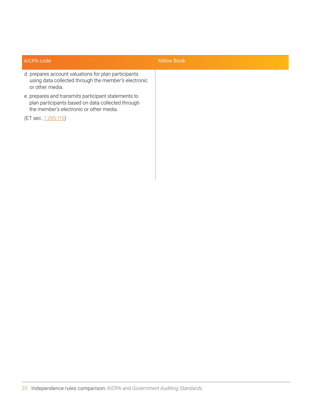| AICPA code                                                                                                                                                 | <b>Yellow Book</b> |
|------------------------------------------------------------------------------------------------------------------------------------------------------------|--------------------|
| d. prepares account valuations for plan participants<br>using data collected through the member's electronic<br>or other media.                            |                    |
| e. prepares and transmits participant statements to<br>plan participants based on data collected through<br>the <i>member's</i> electronic or other media. |                    |
| (ET sec. 1.295.115)                                                                                                                                        |                    |
|                                                                                                                                                            |                    |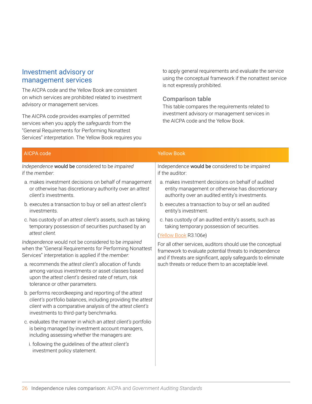# <span id="page-28-0"></span>Investment advisory or management services

The AICPA code and the Yellow Book are consistent on which services are prohibited related to investment advisory or management services.

The AICPA code provides examples of permitted services when you apply the *safeguards* from the "General Requirements for Performing Nonattest Services" interpretation. The Yellow Book requires you to apply general requirements and evaluate the service using the conceptual framework if the nonattest service is not expressly prohibited.

### Comparison table

This table compares the requirements related to investment advisory or management services in the AICPA code and the Yellow Book.

| <b>AICPA code</b>                                                                                                                                                                                                           | <b>Yellow Book</b>                                                                                                                                                                     |
|-----------------------------------------------------------------------------------------------------------------------------------------------------------------------------------------------------------------------------|----------------------------------------------------------------------------------------------------------------------------------------------------------------------------------------|
| Independence would be considered to be impaired<br>if the member:                                                                                                                                                           | Independence would be considered to be impaired<br>if the auditor:                                                                                                                     |
| a. makes investment decisions on behalf of management<br>or otherwise has discretionary authority over an attest<br>client's investments.                                                                                   | a. makes investment decisions on behalf of audited<br>entity management or otherwise has discretionary<br>authority over an audited entity's investments.                              |
| b. executes a transaction to buy or sell an attest client's<br>investments.                                                                                                                                                 | b. executes a transaction to buy or sell an audited<br>entity's investment.                                                                                                            |
| c. has custody of an attest client's assets, such as taking<br>temporary possession of securities purchased by an                                                                                                           | c. has custody of an audited entity's assets, such as<br>taking temporary possession of securities.                                                                                    |
| attest client.                                                                                                                                                                                                              | (Yellow Book R3.106e)                                                                                                                                                                  |
| Independence would not be considered to be impaired<br>when the "General Requirements for Performing Nonattest<br>Services" interpretation is applied if the member:                                                        | For all other services, auditors should use the conceptual<br>framework to evaluate potential threats to independence<br>and if threats are significant, apply safeguards to eliminate |
| a. recommends the attest client's allocation of funds<br>among various investments or asset classes based<br>upon the attest client's desired rate of return, risk<br>tolerance or other parameters.                        | such threats or reduce them to an acceptable level.                                                                                                                                    |
| b. performs recordkeeping and reporting of the attest<br>client's portfolio balances, including providing the attest<br>client with a comparative analysis of the attest client's<br>investments to third-party benchmarks. |                                                                                                                                                                                        |
| c. evaluates the manner in which an attest client's portfolio<br>is being managed by investment account managers,<br>including assessing whether the managers are:                                                          |                                                                                                                                                                                        |
| i. following the guidelines of the attest client's<br>investment policy statement.                                                                                                                                          |                                                                                                                                                                                        |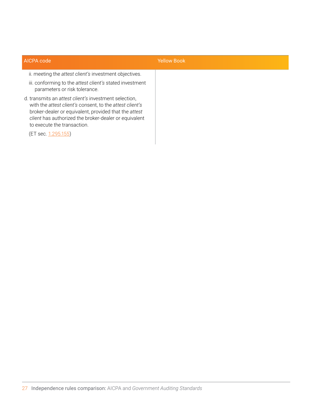### AICPA code XVIII and AICPA code XVIII and AICPA code XVIII and AICPA code XVIII and AICPA code XVIII and AICPA

ii. meeting the *attest client's* investment objectives.

- iii. conforming to the *attest client's* stated investment parameters or risk tolerance.
- d. transmits an *attest client's* investment selection, with the *attest client's* consent, to the *attest client's* broker-dealer or equivalent, provided that the *attest client* has authorized the broker-dealer or equivalent to execute the transaction.

(ET sec. [1.295.155](http://pub.aicpa.org/codeofconduct/resourceseamlesslogin.aspx?prod=ethics&tdoc=et-cod&tptr=et-cod1.295.155))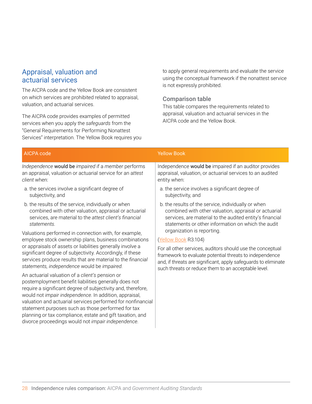# <span id="page-30-0"></span>Appraisal, valuation and actuarial services

The AICPA code and the Yellow Book are consistent on which services are prohibited related to appraisal, valuation, and actuarial services.

The AICPA code provides examples of permitted services when you apply the *safeguards* from the "General Requirements for Performing Nonattest Services" interpretation. The Yellow Book requires you to apply general requirements and evaluate the service using the conceptual framework if the nonattest service is not expressly prohibited.

### Comparison table

This table compares the requirements related to appraisal, valuation and actuarial services in the AICPA code and the Yellow Book.

| <b>AICPA code</b>                                                                                                                                                                                                                                                                                                                                                                                                                                                          | <b>Yellow Book</b>                                                                                                                                                                                                                             |
|----------------------------------------------------------------------------------------------------------------------------------------------------------------------------------------------------------------------------------------------------------------------------------------------------------------------------------------------------------------------------------------------------------------------------------------------------------------------------|------------------------------------------------------------------------------------------------------------------------------------------------------------------------------------------------------------------------------------------------|
| Independence would be impaired if a member performs<br>an appraisal, valuation or actuarial service for an attest<br>client when:                                                                                                                                                                                                                                                                                                                                          | Independence would be impaired if an auditor provides<br>appraisal, valuation, or actuarial services to an audited<br>entity when:                                                                                                             |
| a. the services involve a significant degree of<br>subjectivity, and                                                                                                                                                                                                                                                                                                                                                                                                       | a. the service involves a significant degree of<br>subjectivity, and                                                                                                                                                                           |
| b. the results of the service, individually or when<br>combined with other valuation, appraisal or actuarial<br>services, are material to the attest client's financial<br>statements.                                                                                                                                                                                                                                                                                     | b. the results of the service, individually or when<br>combined with other valuation, appraisal or actuarial<br>services, are material to the audited entity's financial<br>statements or other information on which the audit                 |
| Valuations performed in connection with, for example,<br>employee stock ownership plans, business combinations<br>or appraisals of assets or liabilities generally involve a<br>significant degree of subjectivity. Accordingly, if these<br>services produce results that are material to the financial<br>statements, independence would be impaired.                                                                                                                    | organization is reporting.<br>(Yellow Book R3.104)                                                                                                                                                                                             |
|                                                                                                                                                                                                                                                                                                                                                                                                                                                                            | For all other services, auditors should use the conceptual<br>framework to evaluate potential threats to independence<br>and, if threats are significant, apply safeguards to eliminate<br>such threats or reduce them to an acceptable level. |
| An actuarial valuation of a client's pension or<br>postemployment benefit liabilities generally does not<br>require a significant degree of subjectivity and, therefore,<br>would not impair independence. In addition, appraisal,<br>valuation and actuarial services performed for nonfinancial<br>statement purposes such as those performed for tax<br>planning or tax compliance, estate and gift taxation, and<br>divorce proceedings would not impair independence. |                                                                                                                                                                                                                                                |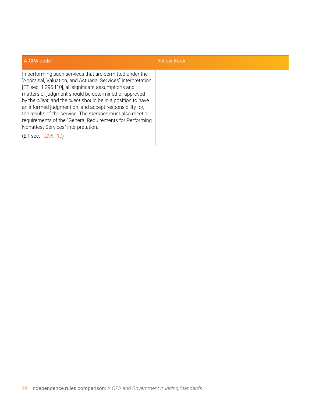| AICPA code                                                                                                                                                                                                                                                                                                                                                                                                                                                                                                                            | <b>Yellow Book</b> |
|---------------------------------------------------------------------------------------------------------------------------------------------------------------------------------------------------------------------------------------------------------------------------------------------------------------------------------------------------------------------------------------------------------------------------------------------------------------------------------------------------------------------------------------|--------------------|
| In performing such services that are permitted under the<br>"Appraisal, Valuation, and Actuarial Services" interpretation<br>[ET sec. 1.295.110], all significant assumptions and<br>matters of judgment should be determined or approved<br>by the client, and the client should be in a position to have<br>an informed judgment on, and accept responsibility for,<br>the results of the service. The member must also meet all<br>requirements of the "General Requirements for Performing<br>Nonattest Services" interpretation. |                    |
| (ET sec. 1.295.110)                                                                                                                                                                                                                                                                                                                                                                                                                                                                                                                   |                    |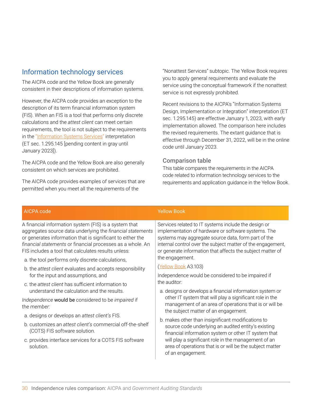# <span id="page-32-0"></span>Information technology services

The AICPA code and the Yellow Book are generally consistent in their descriptions of information systems.

However, the AICPA code provides an exception to the description of its term financial information system (FIS). When an FIS is a tool that performs only discrete calculations and the *attest client* can meet certain requirements, the tool is not subject to the requirements in the "[Information Systems Services](http://pub.aicpa.org/codeofconduct/resourceseamlesslogin.aspx?prod=ethics&tdoc=et-cod&tptr=et-cod1.295.145)" interpretation (ET sec. 1.295.145 [pending content in gray until January 2023]).

The AICPA code and the Yellow Book are also generally consistent on which services are prohibited.

The AICPA code provides examples of services that are permitted when you meet all the requirements of the

"Nonattest Services" subtopic. The Yellow Book requires you to apply general requirements and evaluate the service using the conceptual framework if the nonattest service is not expressly prohibited.

Recent revisions to the AICPA's "Information Systems Design, Implementation or Integration" interpretation (ET sec. 1.295.145) are effective January 1, 2023, with early implementation allowed. The comparison here includes the revised requirements. The extant guidance that is effective through December 31, 2022, will be in the online code until January 2023.

### Comparison table

This table compares the requirements in the AICPA code related to information technology services to the requirements and application guidance in the Yellow Book.

| AICPA code                                                                                                                                                                                                                                                                                             | <b>Yellow Book</b>                                                                                                                                                                                                                                                                                                                                 |
|--------------------------------------------------------------------------------------------------------------------------------------------------------------------------------------------------------------------------------------------------------------------------------------------------------|----------------------------------------------------------------------------------------------------------------------------------------------------------------------------------------------------------------------------------------------------------------------------------------------------------------------------------------------------|
| A financial information system (FIS) is a system that<br>aggregates source data underlying the financial statements<br>or generates information that is significant to either the<br>financial statements or financial processes as a whole. An<br>FIS includes a tool that calculates results unless: | Services related to IT systems include the design or<br>implementation of hardware or software systems. The<br>systems may aggregate source data, form part of the<br>internal control over the subject matter of the engagement,<br>or generate information that affects the subject matter of                                                    |
| a. the tool performs only discrete calculations,                                                                                                                                                                                                                                                       | the engagement.                                                                                                                                                                                                                                                                                                                                    |
| b. the attest client evaluates and accepts responsibility                                                                                                                                                                                                                                              | (Yellow Book A3.103)                                                                                                                                                                                                                                                                                                                               |
| for the input and assumptions, and                                                                                                                                                                                                                                                                     | Independence would be considered to be impaired if                                                                                                                                                                                                                                                                                                 |
| c. the attest client has sufficient information to<br>understand the calculation and the results.                                                                                                                                                                                                      | the auditor:<br>a. designs or develops a financial information system or                                                                                                                                                                                                                                                                           |
| Independence would be considered to be impaired if<br>the member:                                                                                                                                                                                                                                      | other IT system that will play a significant role in the<br>management of an area of operations that is or will be                                                                                                                                                                                                                                 |
| a. designs or develops an attest client's FIS.                                                                                                                                                                                                                                                         | the subject matter of an engagement.<br>b. makes other than insignificant modifications to<br>source code underlying an audited entity's existing<br>financial information system or other IT system that<br>will play a significant role in the management of an<br>area of operations that is or will be the subject matter<br>of an engagement. |
| b. customizes an attest client's commercial off-the-shelf<br>(COTS) FIS software solution.                                                                                                                                                                                                             |                                                                                                                                                                                                                                                                                                                                                    |
| c. provides interface services for a COTS FIS software<br>solution.                                                                                                                                                                                                                                    |                                                                                                                                                                                                                                                                                                                                                    |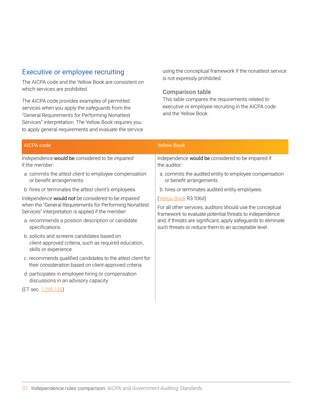# <span id="page-34-0"></span>Executive or employee recruiting

The AICPA code and the Yellow Book are consistent on which services are prohibited.

The AICPA code provides examples of permitted services when you apply the *safeguards* from the "General Requirements for Performing Nonattest Services" interpretation. The Yellow Book requires you to apply general requirements and evaluate the service using the conceptual framework if the nonattest service is not expressly prohibited.

#### Comparison table

This table compares the requirements related to executive or employee recruiting in the AICPA code and the Yellow Book.

| AICPA code                                                                                                                    | <b>Yellow Book</b>                                                                                                    |
|-------------------------------------------------------------------------------------------------------------------------------|-----------------------------------------------------------------------------------------------------------------------|
| Independence would be considered to be impaired<br>if the member:                                                             | Independence would be considered to be impaired if<br>the auditor:                                                    |
| a. commits the attest client to employee compensation<br>or benefit arrangements.                                             | a. commits the audited entity to employee compensation<br>or benefit arrangements.                                    |
| b. hires or terminates the attest client's employees.                                                                         | b. hires or terminates audited entity employees.                                                                      |
| Independence would not be considered to be impaired                                                                           | (Yellow Book R3.106d)                                                                                                 |
| when the "General Requirements for Performing Nonattest<br>Services" interpretation is applied if the <i>member</i> :         | For all other services, auditors should use the conceptual<br>framework to evaluate potential threats to independence |
| a. recommends a position description or candidate<br>specifications.                                                          | and, if threats are significant, apply safeguards to eliminate<br>such threats or reduce them to an acceptable level. |
| b. solicits and screens candidates based on<br>client-approved criteria, such as required education,<br>skills or experience. |                                                                                                                       |
| c. recommends qualified candidates to the attest client for<br>their consideration based on client-approved criteria.         |                                                                                                                       |
| d. participates in employee hiring or compensation<br>discussions in an advisory capacity.                                    |                                                                                                                       |
| (ET sec. 1.295.135)                                                                                                           |                                                                                                                       |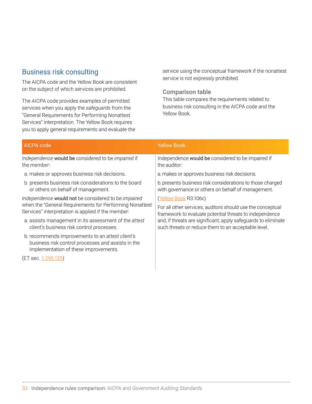# <span id="page-35-0"></span>Business risk consulting

The AICPA code and the Yellow Book are consistent on the subject of which services are prohibited.

The AICPA code provides examples of permitted services when you apply the *safeguards* from the "General Requirements for Performing Nonattest Services" interpretation. The Yellow Book requires you to apply general requirements and evaluate the service using the conceptual framework if the nonattest service is not expressly prohibited.

#### Comparison table

This table compares the requirements related to business risk consulting in the AICPA code and the Yellow Book.

| AICPA code                                                                                                                                      | <b>Yellow Book</b>                                                                                                    |
|-------------------------------------------------------------------------------------------------------------------------------------------------|-----------------------------------------------------------------------------------------------------------------------|
| Independence would be considered to be impaired if<br>the member:                                                                               | Independence would be considered to be impaired if<br>the auditor:                                                    |
| a. makes or approves business risk decisions.                                                                                                   | a. makes or approves business risk decisions.                                                                         |
| b. presents business risk considerations to the board<br>or others on behalf of management.                                                     | b. presents business risk considerations to those charged<br>with governance or others on behalf of management.       |
| Independence would not be considered to be impaired                                                                                             | (Yellow Book R3.106c)                                                                                                 |
| when the "General Requirements for Performing Nonattest<br>Services" interpretation is applied if the member:                                   | For all other services, auditors should use the conceptual<br>framework to evaluate potential threats to independence |
| a. assists management in its assessment of the attest<br>client's business risk control processes.                                              | and, if threats are significant, apply safeguards to eliminate<br>such threats or reduce them to an acceptable level. |
| b. recommends improvements to an attest client's<br>business risk control processes and assists in the<br>implementation of these improvements. |                                                                                                                       |
| (ET sec. 1.295.125)                                                                                                                             |                                                                                                                       |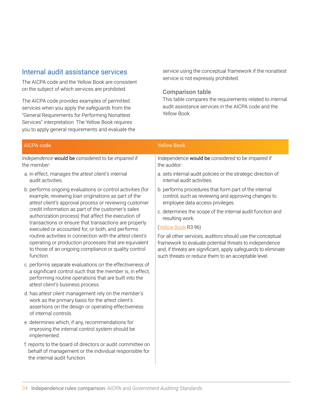# <span id="page-36-0"></span>Internal audit assistance services

The AICPA code and the Yellow Book are consistent on the subject of which services are prohibited.

The AICPA code provides examples of permitted services when you apply the *safeguards* from the "General Requirements for Performing Nonattest Services" interpretation. The Yellow Book requires you to apply general requirements and evaluate the service using the conceptual framework if the nonattest service is not expressly prohibited.

#### Comparison table

This table compares the requirements related to internal audit assistance services in the AICPA code and the Yellow Book.

| <b>AICPA code</b>                                                                                                                                                                                                   | <b>Yellow Book</b>                                                                                                                                                                                                                             |
|---------------------------------------------------------------------------------------------------------------------------------------------------------------------------------------------------------------------|------------------------------------------------------------------------------------------------------------------------------------------------------------------------------------------------------------------------------------------------|
| Independence would be considered to be impaired if<br>the member:                                                                                                                                                   | Independence would be considered to be impaired if<br>the auditor:                                                                                                                                                                             |
| a. in effect, manages the attest client's internal<br>audit activities.                                                                                                                                             | a. sets internal audit policies or the strategic direction of<br>internal audit activities.                                                                                                                                                    |
| b. performs ongoing evaluations or control activities (for<br>example, reviewing loan originations as part of the<br>attest client's approval process or reviewing customer                                         | b. performs procedures that form part of the internal<br>control, such as reviewing and approving changes to<br>employee data access privileges.                                                                                               |
| credit information as part of the customer's sales<br>authorization process) that affect the execution of                                                                                                           | c. determines the scope of the internal audit function and<br>resulting work.                                                                                                                                                                  |
| transactions or ensure that transactions are properly<br>executed or accounted for, or both, and performs                                                                                                           | (Yellow Book R3.96)                                                                                                                                                                                                                            |
| routine activities in connection with the attest client's<br>operating or production processes that are equivalent<br>to those of an ongoing compliance or quality control<br>function.                             | For all other services, auditors should use the conceptual<br>framework to evaluate potential threats to independence<br>and, if threats are significant, apply safeguards to eliminate<br>such threats or reduce them to an acceptable level. |
| c. performs separate evaluations on the effectiveness of<br>a significant control such that the member is, in effect,<br>performing routine operations that are built into the<br>attest client's business process. |                                                                                                                                                                                                                                                |
| d. has attest client management rely on the member's<br>work as the primary basis for the attest client's<br>assertions on the design or operating effectiveness<br>of internal controls.                           |                                                                                                                                                                                                                                                |
| e. determines which, if any, recommendations for<br>improving the internal control system should be<br>implemented.                                                                                                 |                                                                                                                                                                                                                                                |
| f. reports to the board of directors or audit committee on<br>behalf of management or the individual responsible for<br>the internal audit function.                                                                |                                                                                                                                                                                                                                                |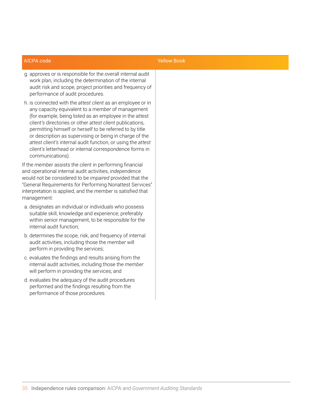#### AICPA code XVIII and AICPA code XVIII and AICPA code XVIII and AICPA code XVIII and AICPA code XVIII and AICPA

- g. approves or is responsible for the overall internal audit work plan, including the determination of the internal audit risk and scope, project priorities and frequency of performance of audit procedures.
- h. is connected with the *attest client* as an employee or in any capacity equivalent to a *member* of management (for example, being listed as an employee in the attest *client's* directories or other *attest client* publications, permitting himself or herself to be referred to by title or description as supervising or being in charge of the *attest client's* internal audit function, or using the *attest client's* letterhead or internal correspondence forms in communications).

If the *member* assists the *client* in performing financial and operational internal audit activities, *independence* would not be considered to be *impaired* provided that the "General Requirements for Performing Nonattest Services" interpretation is applied, and the *member* is satisfied that management:

- a. designates an individual or individuals who possess suitable skill, knowledge and experience, preferably within senior management, to be responsible for the internal audit function;
- b. determines the scope, risk, and frequency of internal audit activities, including those the *member* will perform in providing the services;
- c. evaluates the findings and results arising from the internal audit activities, including those the *member* will perform in providing the services; and
- d. evaluates the adequacy of the audit procedures performed and the findings resulting from the performance of those procedures.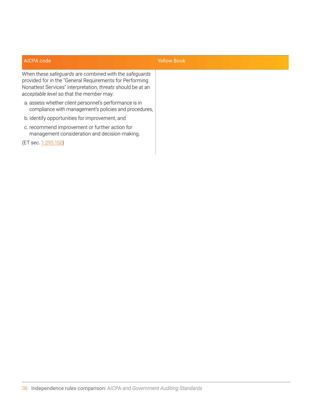| AICPA code                                                                                                                                                                                                                    | <b>Yellow Book</b> |
|-------------------------------------------------------------------------------------------------------------------------------------------------------------------------------------------------------------------------------|--------------------|
| When these safeguards are combined with the safeguards<br>provided for in the "General Requirements for Performing<br>Nonattest Services" interpretation, threats should be at an<br>acceptable level so that the member may: |                    |
| a. assess whether client personnel's performance is in<br>compliance with management's policies and procedures,                                                                                                               |                    |
| b. identify opportunities for improvement, and                                                                                                                                                                                |                    |
| c. recommend improvement or further action for<br>management consideration and decision-making.                                                                                                                               |                    |
| (ET sec. 1.295.150)                                                                                                                                                                                                           |                    |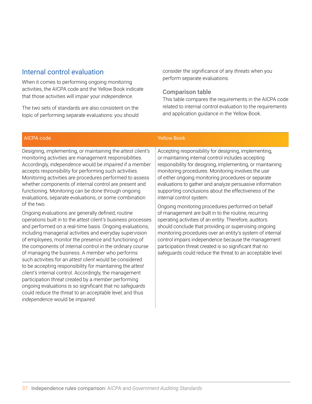# <span id="page-39-0"></span>Internal control evaluation

When it comes to performing ongoing monitoring activities, the AICPA code and the Yellow Book indicate that those activities will *impair* your *independence*.

The two sets of standards are also consistent on the topic of performing separate evaluations: you should consider the significance of any *threats* when you perform separate evaluations.

### Comparison table

This table compares the requirements in the AICPA code related to internal control evaluation to the requirements and application guidance in the Yellow Book.

| <b>AICPA code</b>                                                                                                                                                                                                                                                                                                                                                                                                                                                                                                                                                                                                                                                                                                                                                                                                                        | <b>Yellow Book</b>                                                                                                                                                                                                                                                                                                                                                                                                                                                       |
|------------------------------------------------------------------------------------------------------------------------------------------------------------------------------------------------------------------------------------------------------------------------------------------------------------------------------------------------------------------------------------------------------------------------------------------------------------------------------------------------------------------------------------------------------------------------------------------------------------------------------------------------------------------------------------------------------------------------------------------------------------------------------------------------------------------------------------------|--------------------------------------------------------------------------------------------------------------------------------------------------------------------------------------------------------------------------------------------------------------------------------------------------------------------------------------------------------------------------------------------------------------------------------------------------------------------------|
| Designing, implementing, or maintaining the attest client's<br>monitoring activities are management responsibilities.<br>Accordingly, independence would be impaired if a member<br>accepts responsibility for performing such activities.<br>Monitoring activities are procedures performed to assess<br>whether components of internal control are present and<br>functioning. Monitoring can be done through ongoing<br>evaluations, separate evaluations, or some combination                                                                                                                                                                                                                                                                                                                                                        | Accepting responsibility for designing, implementing,<br>or maintaining internal control includes accepting<br>responsibility for designing, implementing, or maintaining<br>monitoring procedures. Monitoring involves the use<br>of either ongoing monitoring procedures or separate<br>evaluations to gather and analyze persuasive information<br>supporting conclusions about the effectiveness of the<br>internal control system.                                  |
| of the two.<br>Ongoing evaluations are generally defined, routine<br>operations built in to the attest client's business processes<br>and performed on a real-time basis. Ongoing evaluations,<br>including managerial activities and everyday supervision<br>of employees, monitor the presence and functioning of<br>the components of internal control in the ordinary course<br>of managing the business. A member who performs<br>such activities for an attest client would be considered<br>to be accepting responsibility for maintaining the attest<br>client's internal control. Accordingly, the management<br>participation threat created by a member performing<br>ongoing evaluations is so significant that no safeguards<br>could reduce the threat to an acceptable level, and thus<br>independence would be impaired. | Ongoing monitoring procedures performed on behalf<br>of management are built in to the routine, recurring<br>operating activities of an entity. Therefore, auditors<br>should conclude that providing or supervising ongoing<br>monitoring procedures over an entity's system of internal<br>control impairs independence because the management<br>participation threat created is so significant that no<br>safeguards could reduce the threat to an acceptable level. |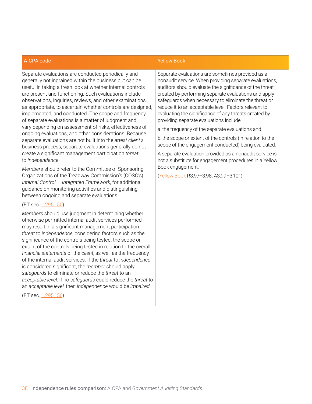#### AICPA code Xellow Book (2009) AICPA code

Separate evaluations are conducted periodically and generally not ingrained within the business but can be useful in taking a fresh look at whether internal controls are present and functioning. Such evaluations include observations, inquiries, reviews, and other examinations, as appropriate, to ascertain whether controls are designed, implemented, and conducted. The scope and frequency of separate evaluations is a matter of judgment and vary depending on assessment of risks, effectiveness of ongoing evaluations, and other considerations. Because separate evaluations are not built into the *attest client's* business process, separate evaluations generally do not create a significant management participation *threat* to *independence*.

*Members* should refer to the Committee of Sponsoring Organizations of the Treadway Commission's (COSO's) *Internal Control — Integrated Framework*, for additional guidance on monitoring activities and distinguishing between ongoing and separate evaluations.

#### (ET sec. [1.295.150](http://pub.aicpa.org/codeofconduct/resourceseamlesslogin.aspx?prod=ethics&tdoc=et-cod&tptr=et-cod1.295.150))

*Members* should use judgment in determining whether otherwise permitted internal audit services performed may result in a significant management participation *threat* to *independence*, considering factors such as the significance of the controls being tested, the scope or extent of the controls being tested in relation to the overall *financial statements* of the *client*, as well as the frequency of the internal audit services. If the *threat* to *independence* is considered significant, the *member* should apply *safeguards* to eliminate or reduce the *threat* to an *acceptable level*. If no *safeguards* could reduce the *threat* to an *acceptable level*, then *independence* would be *impaired*.

(ET sec. [1.295.150](http://pub.aicpa.org/codeofconduct/resourceseamlesslogin.aspx?prod=ethics&tdoc=et-cod&tptr=et-cod1.295.150))

Separate evaluations are sometimes provided as a nonaudit service. When providing separate evaluations, auditors should evaluate the significance of the threat created by performing separate evaluations and apply safeguards when necessary to eliminate the threat or reduce it to an acceptable level. Factors relevant to evaluating the significance of any threats created by providing separate evaluations include

a.the frequency of the separate evaluations and

b.the scope or extent of the controls (in relation to the scope of the engagement conducted) being evaluated.

A separate evaluation provided as a nonaudit service is not a substitute for engagement procedures in a Yellow Book engagement.

([Yellow Book](https://www.gao.gov/yellowbook) R3.97–3.98, A3.99–3.101)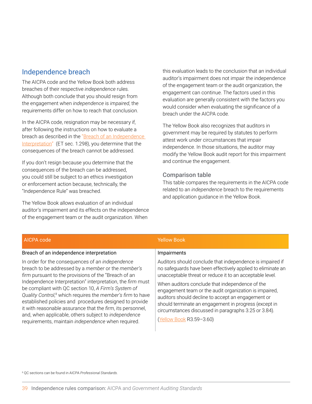# <span id="page-41-0"></span>Independence breach

The AICPA code and the Yellow Book both address breaches of their respective *independence* rules. Although both conclude that you should resign from the engagement when *independence* is *impaired*, the requirements differ on how to reach that conclusion.

In the AICPA code, resignation may be necessary if, after following the instructions on how to evaluate a breach as described in the "Breach of an Independence [Interpretation"](http://pub.aicpa.org/codeofconduct/resourceseamlesslogin.aspx?prod=ethics&tdoc=et-cod&tptr=et-cod1.298) (ET sec. 1.298), you determine that the consequences of the breach cannot be addressed.

If you don't resign because you determine that the consequences of the breach can be addressed, you could still be subject to an ethics investigation or enforcement action because, technically, the "Independence Rule" was breached.

The Yellow Book allows evaluation of an individual auditor's impairment and its effects on the independence of the engagement team or the audit organization. When

this evaluation leads to the conclusion that an individual auditor's impairment does not impair the independence of the engagement team or the audit organization, the engagement can continue. The factors used in this evaluation are generally consistent with the factors you would consider when evaluating the significance of a breach under the AICPA code.

The Yellow Book also recognizes that auditors in government may be required by statutes to perform attest work under circumstances that impair independence. In those situations, the auditor may modify the Yellow Book audit report for this impairment and continue the engagement.

### Comparison table

This table compares the requirements in the AICPA code related to an *independence* breach to the requirements and application guidance in the Yellow Book.

| AICPA code                                                                                                                                                                                                                                                                                                                                                                                                                                                                             | <b>Yellow Book</b>                                                                                                                                                                                                                                                                                                                                                                                                                                                       |
|----------------------------------------------------------------------------------------------------------------------------------------------------------------------------------------------------------------------------------------------------------------------------------------------------------------------------------------------------------------------------------------------------------------------------------------------------------------------------------------|--------------------------------------------------------------------------------------------------------------------------------------------------------------------------------------------------------------------------------------------------------------------------------------------------------------------------------------------------------------------------------------------------------------------------------------------------------------------------|
| Breach of an independence interpretation                                                                                                                                                                                                                                                                                                                                                                                                                                               | Impairments                                                                                                                                                                                                                                                                                                                                                                                                                                                              |
| In order for the consequences of an independence<br>breach to be addressed by a member or the member's<br>firm pursuant to the provisions of the "Breach of an<br>Independence Interpretation" interpretation, the firm must<br>be compliant with QC section 10, A Firm's System of<br>Quality Control, <sup>8</sup> which requires the member's firm to have<br>established policies and procedures designed to provide<br>it with reasonable assurance that the firm, its personnel, | Auditors should conclude that independence is impaired if<br>no safeguards have been effectively applied to eliminate an<br>unacceptable threat or reduce it to an acceptable level.<br>When auditors conclude that independence of the<br>engagement team or the audit organization is impaired,<br>auditors should decline to accept an engagement or<br>should terminate an engagement in progress (except in<br>circumstances discussed in paragraphs 3.25 or 3.84). |
| and, when applicable, others subject to independence<br>requirements, maintain independence when required.                                                                                                                                                                                                                                                                                                                                                                             | (Yellow Book R3.59-3.60)                                                                                                                                                                                                                                                                                                                                                                                                                                                 |

8 QC sections can be found in AICPA *Professional Standards*.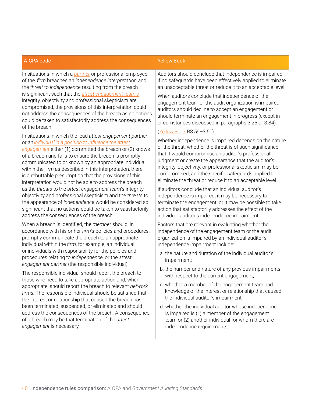#### AICPA code Xellow Book (2009) AICPA code

In situations in which a *[partner](http://pub.aicpa.org/codeofconduct/resourceseamlesslogin.aspx?prod=ethics&tdoc=et-cod&tptr=et-cod0.400.37)* or professional employee of the *firm* breaches an *independence interpretation* and the *threat* to *independence* resulting from the breach is significant such that the *attest [engagement](http://pub.aicpa.org/codeofconduct/resourceseamlesslogin.aspx?prod=ethics&tdoc=et-cod&tptr=et-cod0.400.05) team's*  integrity, objectivity and professional skepticism are compromised, the provisions of this interpretation could not address the consequences of the breach as no actions could be taken to satisfactorily address the consequences of the breach.

In situations in which the lead *attest engagement partner* or an *individual in a position to infl[uence the attest](http://pub.aicpa.org/codeofconduct/resourceseamlesslogin.aspx?prod=ethics&tdoc=et-cod&tptr=et-cod0.400.23)  [engagement](http://pub.aicpa.org/codeofconduct/resourceseamlesslogin.aspx?prod=ethics&tdoc=et-cod&tptr=et-cod0.400.23)* either (1) committed the breach or (2) knows of a breach and fails to ensure the breach is promptly communicated to or known by an appropriate individual within the *rm* as described in this interpretation, there is a rebuttable presumption that the provisions of this interpretation would not be able to address the breach as the *threats* to the *attest engagement team*'s integrity, objectivity and professional skepticism and the *threats* to the appearance of *independence* would be considered so significant that no actions could be taken to satisfactorily address the consequences of the breach.

When a breach is identified, the *member* should, in accordance with his or her *firm*'s policies and procedures, promptly communicate the breach to an appropriate individual within the *firm*, for example, an individual or individuals with responsibility for the policies and procedures relating to *independence*, or the *attest engagement partner* (the responsible individual).

The responsible individual should report the breach to those who need to take appropriate action and, when appropriate, should report the breach to relevant *network firms*. The responsible individual should be satisfied that the interest or relationship that caused the breach has been terminated, suspended, or eliminated and should address the consequences of the breach. A consequence of a breach may be that termination of the *attest engagement* is necessary.

Auditors should conclude that independence is impaired if no safeguards have been effectively applied to eliminate an unacceptable threat or reduce it to an acceptable level.

When auditors conclude that independence of the engagement team or the audit organization is impaired, auditors should decline to accept an engagement or should terminate an engagement in progress (except in circumstances discussed in paragraphs 3.25 or 3.84).

#### ([Yellow Book](https://www.gao.gov/yellowbook) R3.59–3.60)

Whether independence is impaired depends on the nature of the threat, whether the threat is of such significance that it would compromise an auditor's professional judgment or create the appearance that the auditor's integrity, objectivity, or professional skepticism may be compromised, and the specific safeguards applied to eliminate the threat or reduce it to an acceptable level.

If auditors conclude that an individual auditor's independence is impaired, it may be necessary to terminate the engagement, or it may be possible to take action that satisfactorily addresses the effect of the individual auditor's independence impairment.

Factors that are relevant in evaluating whether the independence of the engagement team or the audit organization is impaired by an individual auditor's independence impairment include:

- a. the nature and duration of the individual auditor's impairment;
- b. the number and nature of any previous impairments with respect to the current engagement;
- c. whether a member of the engagement team had knowledge of the interest or relationship that caused the individual auditor's impairment;
- d. whether the individual auditor whose independence is impaired is (1) a member of the engagement team or (2) another individual for whom there are independence requirements;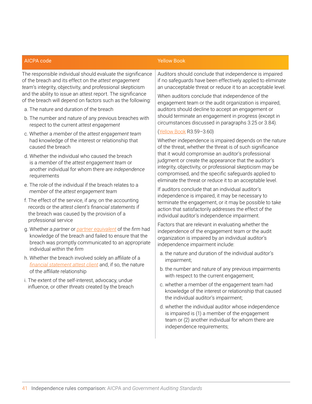| <b>AICPA code</b>                                                                                                                                                                                                                                                                                                                                                 | <b>Yellow Book</b>                                                                                                                                                                                                                                                                                                                                                                                                                                                                                                                                                                                                                                                                                                                                                                                                                                                                                                                                                                                                                                                                                                                                                                                                                                                                                                                                                                                                                                                                                                                                                                          |
|-------------------------------------------------------------------------------------------------------------------------------------------------------------------------------------------------------------------------------------------------------------------------------------------------------------------------------------------------------------------|---------------------------------------------------------------------------------------------------------------------------------------------------------------------------------------------------------------------------------------------------------------------------------------------------------------------------------------------------------------------------------------------------------------------------------------------------------------------------------------------------------------------------------------------------------------------------------------------------------------------------------------------------------------------------------------------------------------------------------------------------------------------------------------------------------------------------------------------------------------------------------------------------------------------------------------------------------------------------------------------------------------------------------------------------------------------------------------------------------------------------------------------------------------------------------------------------------------------------------------------------------------------------------------------------------------------------------------------------------------------------------------------------------------------------------------------------------------------------------------------------------------------------------------------------------------------------------------------|
| The responsible individual should evaluate the significance<br>of the breach and its effect on the attest engagement<br>team's integrity, objectivity, and professional skepticism<br>and the ability to issue an attest report. The significance                                                                                                                 | Auditors should conclude that independence is impaired<br>if no safeguards have been effectively applied to eliminate<br>an unacceptable threat or reduce it to an acceptable level.<br>When auditors conclude that independence of the<br>engagement team or the audit organization is impaired,<br>auditors should decline to accept an engagement or<br>should terminate an engagement in progress (except in<br>circumstances discussed in paragraphs 3.25 or 3.84).<br>(Yellow Book R3.59-3.60)<br>Whether independence is impaired depends on the nature<br>of the threat, whether the threat is of such significance<br>that it would compromise an auditor's professional<br>judgment or create the appearance that the auditor's<br>integrity, objectivity, or professional skepticism may be<br>compromised, and the specific safeguards applied to<br>eliminate the threat or reduce it to an acceptable level.<br>If auditors conclude that an individual auditor's<br>independence is impaired, it may be necessary to<br>terminate the engagement, or it may be possible to take<br>action that satisfactorily addresses the effect of the<br>individual auditor's independence impairment.<br>Factors that are relevant in evaluating whether the<br>independence of the engagement team or the audit<br>organization is impaired by an individual auditor's<br>independence impairment include:<br>a. the nature and duration of the individual auditor's<br>impairment;<br>b. the number and nature of any previous impairments<br>with respect to the current engagement; |
| of the breach will depend on factors such as the following:<br>a. The nature and duration of the breach<br>b. The number and nature of any previous breaches with<br>respect to the current attest engagement                                                                                                                                                     |                                                                                                                                                                                                                                                                                                                                                                                                                                                                                                                                                                                                                                                                                                                                                                                                                                                                                                                                                                                                                                                                                                                                                                                                                                                                                                                                                                                                                                                                                                                                                                                             |
| c. Whether a member of the attest engagement team<br>had knowledge of the interest or relationship that<br>caused the breach<br>d. Whether the individual who caused the breach<br>is a member of the attest engagement team or<br>another individual for whom there are independence<br>requirements<br>e. The role of the individual if the breach relates to a |                                                                                                                                                                                                                                                                                                                                                                                                                                                                                                                                                                                                                                                                                                                                                                                                                                                                                                                                                                                                                                                                                                                                                                                                                                                                                                                                                                                                                                                                                                                                                                                             |
| member of the attest engagement team<br>f. The effect of the service, if any, on the accounting<br>records or the attest client's financial statements if<br>the breach was caused by the provision of a<br>professional service                                                                                                                                  |                                                                                                                                                                                                                                                                                                                                                                                                                                                                                                                                                                                                                                                                                                                                                                                                                                                                                                                                                                                                                                                                                                                                                                                                                                                                                                                                                                                                                                                                                                                                                                                             |
| g. Whether a partner or partner equivalent of the firm had<br>knowledge of the breach and failed to ensure that the<br>breach was promptly communicated to an appropriate<br>individual within the firm                                                                                                                                                           |                                                                                                                                                                                                                                                                                                                                                                                                                                                                                                                                                                                                                                                                                                                                                                                                                                                                                                                                                                                                                                                                                                                                                                                                                                                                                                                                                                                                                                                                                                                                                                                             |
| h. Whether the breach involved solely an affiliate of a<br>financial statement attest client and, if so, the nature<br>of the affiliate relationship                                                                                                                                                                                                              |                                                                                                                                                                                                                                                                                                                                                                                                                                                                                                                                                                                                                                                                                                                                                                                                                                                                                                                                                                                                                                                                                                                                                                                                                                                                                                                                                                                                                                                                                                                                                                                             |
| i. The extent of the self-interest, advocacy, undue<br>influence, or other threats created by the breach                                                                                                                                                                                                                                                          | c. whether a member of the engagement team had<br>knowledge of the interest or relationship that caused<br>the individual auditor's impairment;                                                                                                                                                                                                                                                                                                                                                                                                                                                                                                                                                                                                                                                                                                                                                                                                                                                                                                                                                                                                                                                                                                                                                                                                                                                                                                                                                                                                                                             |
|                                                                                                                                                                                                                                                                                                                                                                   | d. whether the individual auditor whose independence<br>is impaired is (1) a member of the engagement<br>team or (2) another individual for whom there are<br>independence requirements;                                                                                                                                                                                                                                                                                                                                                                                                                                                                                                                                                                                                                                                                                                                                                                                                                                                                                                                                                                                                                                                                                                                                                                                                                                                                                                                                                                                                    |
|                                                                                                                                                                                                                                                                                                                                                                   |                                                                                                                                                                                                                                                                                                                                                                                                                                                                                                                                                                                                                                                                                                                                                                                                                                                                                                                                                                                                                                                                                                                                                                                                                                                                                                                                                                                                                                                                                                                                                                                             |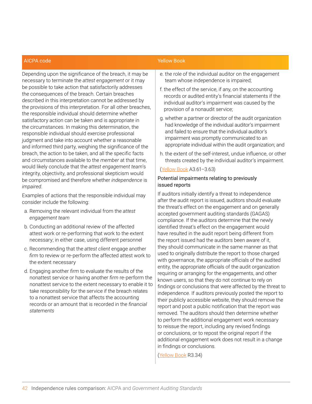#### AICPA code Yellow Book

Depending upon the significance of the breach, it may be necessary to terminate the *attest engagement* or it may be possible to take action that satisfactorily addresses the consequences of the breach. Certain breaches described in this interpretation cannot be addressed by the provisions of this interpretation. For all other breaches, the responsible individual should determine whether satisfactory action can be taken and is appropriate in the circumstances. In making this determination, the responsible individual should exercise professional judgment and take into account whether a reasonable and informed third party, weighing the significance of the breach, the action to be taken, and all the specific facts and circumstances available to the *member* at that time, would likely conclude that the *attest engagement team*'s integrity, objectivity, and professional skepticism would be compromised and therefore whether *independence* is *impaired*.

Examples of actions that the responsible individual may consider include the following:

- a. Removing the relevant individual from the *attest engagement team*
- b. Conducting an additional review of the affected attest work or re-performing that work to the extent necessary; in either case, using different personnel
- c. Recommending that the *attest client* engage another *firm* to review or re-perform the affected attest work to the extent necessary
- d. Engaging another *firm* to evaluate the results of the nonattest service or having another *firm* re-perform the nonattest service to the extent necessary to enable it to take responsibility for the service if the breach relates to a nonattest service that affects the accounting records or an amount that is recorded in the *financial statements*

- e. the role of the individual auditor on the engagement team whose independence is impaired;
- f. the effect of the service, if any, on the accounting records or audited entity's financial statements if the individual auditor's impairment was caused by the provision of a nonaudit service;
- g. whether a partner or director of the audit organization had knowledge of the individual auditor's impairment and failed to ensure that the individual auditor's impairment was promptly communicated to an appropriate individual within the audit organization; and
- h. the extent of the self-interest, undue influence, or other threats created by the individual auditor's impairment.

#### [\(Yellow Book](https://www.gao.gov/yellowbook) A3.61–3.63)

#### Potential impairments relating to previously issued reports

If auditors initially identify a threat to independence after the audit report is issued, auditors should evaluate the threat's effect on the engagement and on generally accepted government auditing standards (GAGAS) compliance. If the auditors determine that the newly identified threat's effect on the engagement would have resulted in the audit report being different from the report issued had the auditors been aware of it, they should communicate in the same manner as that used to originally distribute the report to those charged with governance, the appropriate officials of the audited entity, the appropriate officials of the audit organization requiring or arranging for the engagements, and other known users, so that they do not continue to rely on findings or conclusions that were affected by the threat to independence. If auditors previously posted the report to their publicly accessible website, they should remove the report and post a public notification that the report was removed. The auditors should then determine whether to perform the additional engagement work necessary to reissue the report, including any revised findings or conclusions, or to repost the original report if the additional engagement work does not result in a change in findings or conclusions.

([Yellow Book](https://www.gao.gov/yellowbook) R3.34)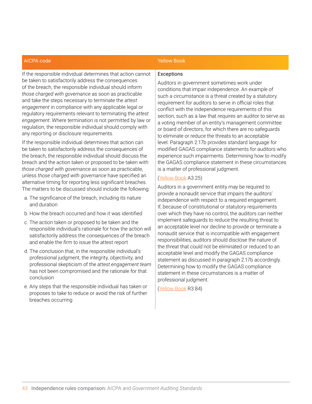#### AICPA code Xellow Book (2009) AICPA code

**Exceptions** 

If the responsible individual determines that action cannot be taken to satisfactorily address the consequences of the breach, the responsible individual should inform *those charged with governance* as soon as practicable and take the steps necessary to terminate the *attest engagement* in compliance with any applicable legal or regulatory requirements relevant to terminating the *attest engagement*. Where termination is not permitted by law or regulation, the responsible individual should comply with any reporting or disclosure requirements.

If the responsible individual determines that action can be taken to satisfactorily address the consequences of the breach, the responsible individual should discuss the breach and the action taken or proposed to be taken with *those charged with governance* as soon as practicable, unless *those charged with governance* have specified an alternative timing for reporting less significant breaches. The matters to be discussed should include the following:

- a. The significance of the breach, including its nature and duration
- b. How the breach occurred and how it was identified
- c. The action taken or proposed to be taken and the responsible individual's rationale for how the action will satisfactorily address the consequences of the breach and enable the *firm* to issue the attest report
- d. The conclusion that, in the responsible individual's professional judgment, the integrity, objectivity, and professional skepticism of the *attest engagement team* has not been compromised and the rationale for that conclusion
- e. Any steps that the responsible individual has taken or proposes to take to reduce or avoid the risk of further breaches occurring

Auditors in government sometimes work under conditions that impair independence. An example of such a circumstance is a threat created by a statutory requirement for auditors to serve in official roles that conflict with the independence requirements of this section, such as a law that requires an auditor to serve as a voting member of an entity's management committee or board of directors, for which there are no safeguards to eliminate or reduce the threats to an acceptable level. Paragraph 2.17b provides standard language for modified GAGAS compliance statements for auditors who experience such impairments. Determining how to modify the GAGAS compliance statement in these circumstances is a matter of professional judgment.

#### ([Yellow Book](https://www.gao.gov/yellowbook) A3.25)

Auditors in a government entity may be required to provide a nonaudit service that impairs the auditors' independence with respect to a required engagement. If, because of constitutional or statutory requirements over which they have no control, the auditors can neither implement safeguards to reduce the resulting threat to an acceptable level nor decline to provide or terminate a nonaudit service that is incompatible with engagement responsibilities, auditors should disclose the nature of the threat that could not be eliminated or reduced to an acceptable level and modify the GAGAS compliance statement as discussed in paragraph 2.17b accordingly. Determining how to modify the GAGAS compliance statement in these circumstances is a matter of professional judgment.

([Yellow Book](https://www.gao.gov/yellowbook) R3.84)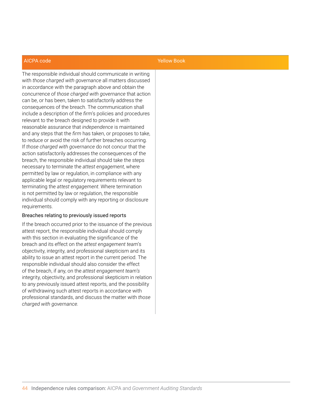#### AICPA code XVIII Alternative Contract Contract Contract Contract Contract Contract Contract Contract Contract Contract Contract Contract Contract Contract Contract Contract Contract Contract Contract Contract Contract Cont

The responsible individual should communicate in writing with *those charged with governance* all matters discussed in accordance with the paragraph above and obtain the concurrence of *those charged with governance* that action can be, or has been, taken to satisfactorily address the consequences of the breach. The communication shall include a description of the *firm*'s policies and procedures relevant to the breach designed to provide it with reasonable assurance that *independence* is maintained and any steps that the *firm* has taken, or proposes to take, to reduce or avoid the risk of further breaches occurring. If *those charged with governance* do not concur that the action satisfactorily addresses the consequences of the breach, the responsible individual should take the steps necessary to terminate the *attest engagement*, where permitted by law or regulation, in compliance with any applicable legal or regulatory requirements relevant to terminating the *attest engagement*. Where termination is not permitted by law or regulation, the responsible individual should comply with any reporting or disclosure requirements.

#### Breaches relating to previously issued reports

If the breach occurred prior to the issuance of the previous attest report, the responsible individual should comply with this section in evaluating the significance of the breach and its effect on the *attest engagement team*'s objectivity, integrity, and professional skepticism and its ability to issue an attest report in the current period. The responsible individual should also consider the effect of the breach, if any, on the *attest engagement team's* integrity, objectivity, and professional skepticism in relation to any previously issued attest reports, and the possibility of withdrawing such attest reports in accordance with professional standards, and discuss the matter with *those charged with governance*.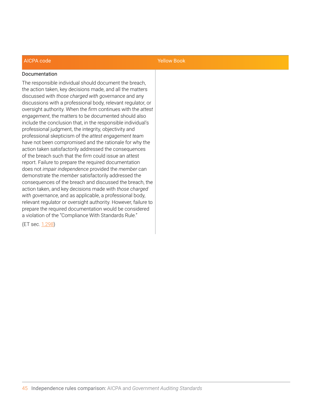#### AICPA code XVIII Alternative Contract Contract Contract Contract Contract Contract Contract Contract Contract Contract Contract Contract Contract Contract Contract Contract Contract Contract Contract Contract Contract Cont

#### Documentation

The responsible individual should document the breach, the action taken, key decisions made, and all the matters discussed with *those charged with governanc*e and any discussions with a professional body, relevant regulator, or oversight authority. When the *firm* continues with the *attest engagement*, the matters to be documented should also include the conclusion that, in the responsible individual's professional judgment, the integrity, objectivity and professional skepticism of the *attest engagement team* have not been compromised and the rationale for why the action taken satisfactorily addressed the consequences of the breach such that the *firm* could issue an attest report. Failure to prepare the required documentation does not *impair independence* provided the *member* can demonstrate the *member* satisfactorily addressed the consequences of the breach and discussed the breach, the action taken, and key decisions made with *those charged with governance*, and as applicable, a professional body, relevant regulator or oversight authority. However, failure to prepare the required documentation would be considered a violation of the "Compliance With Standards Rule."

(ET sec. [1.298](http://pub.aicpa.org/codeofconduct/resourceseamlesslogin.aspx?prod=ethics&tdoc=et-cod&tptr=et-cod1.298))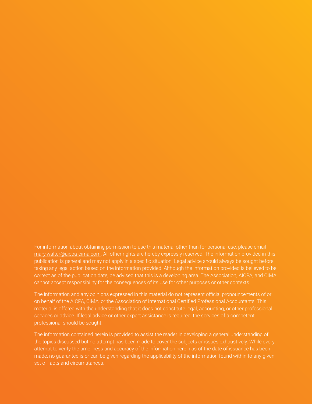For information about obtaining permission to use this material other than for personal use, please email [mary.walter@aicpa-cima.com.](mailto:mary.walter%40aicpa-cima.com?subject=) All other rights are hereby expressly reserved. The information provided in this publication is general and may not apply in a specific situation. Legal advice should always be sought before taking any legal action based on the information provided. Although the information provided is believed to be correct as of the publication date, be advised that this is a developing area. The Association, AICPA, and CIMA cannot accept responsibility for the consequences of its use for other purposes or other contexts.

The information and any opinions expressed in this material do not represent official pronouncements of or on behalf of the AICPA, CIMA, or the Association of International Certified Professional Accountants. This material is offered with the understanding that it does not constitute legal, accounting, or other professional services or advice. If legal advice or other expert assistance is required, the services of a competent professional should be sought.

The information contained herein is provided to assist the reader in developing a general understanding of the topics discussed but no attempt has been made to cover the subjects or issues exhaustively. While every attempt to verify the timeliness and accuracy of the information herein as of the date of issuance has been made, no guarantee is or can be given regarding the applicability of the information found within to any given set of facts and circumstances.